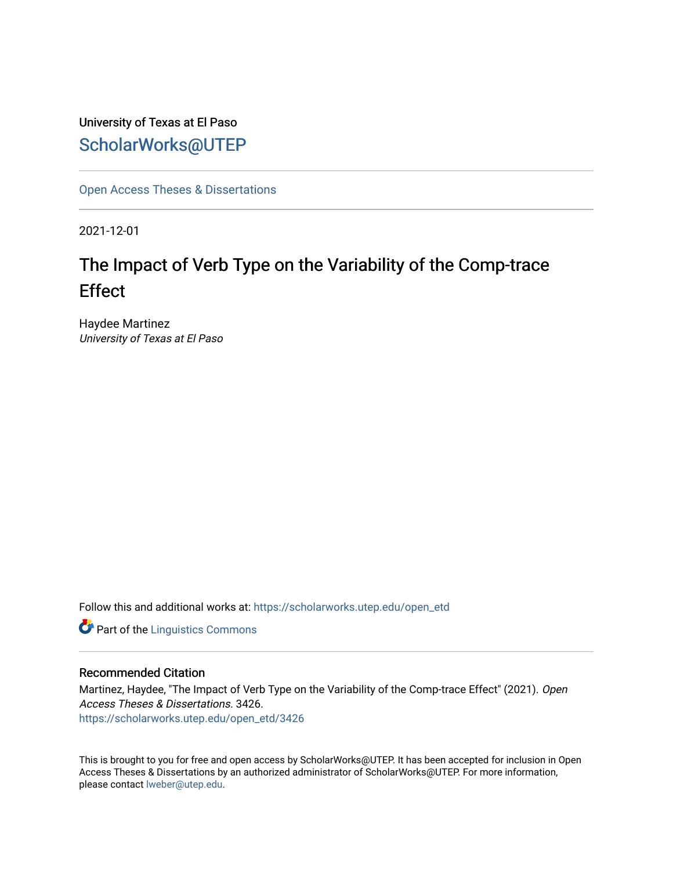University of Texas at El Paso [ScholarWorks@UTEP](https://scholarworks.utep.edu/)

[Open Access Theses & Dissertations](https://scholarworks.utep.edu/open_etd) 

2021-12-01

# The Impact of Verb Type on the Variability of the Comp-trace **Effect**

Haydee Martinez University of Texas at El Paso

Follow this and additional works at: [https://scholarworks.utep.edu/open\\_etd](https://scholarworks.utep.edu/open_etd?utm_source=scholarworks.utep.edu%2Fopen_etd%2F3426&utm_medium=PDF&utm_campaign=PDFCoverPages)

**Part of the Linguistics Commons** 

#### Recommended Citation

Martinez, Haydee, "The Impact of Verb Type on the Variability of the Comp-trace Effect" (2021). Open Access Theses & Dissertations. 3426. [https://scholarworks.utep.edu/open\\_etd/3426](https://scholarworks.utep.edu/open_etd/3426?utm_source=scholarworks.utep.edu%2Fopen_etd%2F3426&utm_medium=PDF&utm_campaign=PDFCoverPages) 

This is brought to you for free and open access by ScholarWorks@UTEP. It has been accepted for inclusion in Open Access Theses & Dissertations by an authorized administrator of ScholarWorks@UTEP. For more information, please contact [lweber@utep.edu.](mailto:lweber@utep.edu)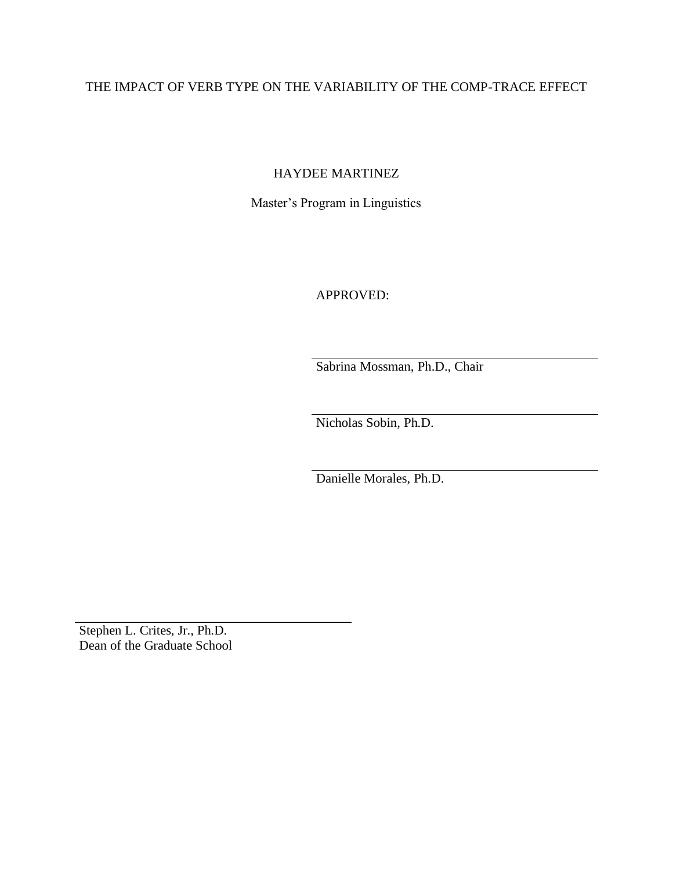# THE IMPACT OF VERB TYPE ON THE VARIABILITY OF THE COMP-TRACE EFFECT

HAYDEE MARTINEZ

Master's Program in Linguistics

APPROVED:

Sabrina Mossman, Ph.D., Chair

Nicholas Sobin, Ph.D.

Danielle Morales, Ph.D.

Stephen L. Crites, Jr., Ph.D. Dean of the Graduate School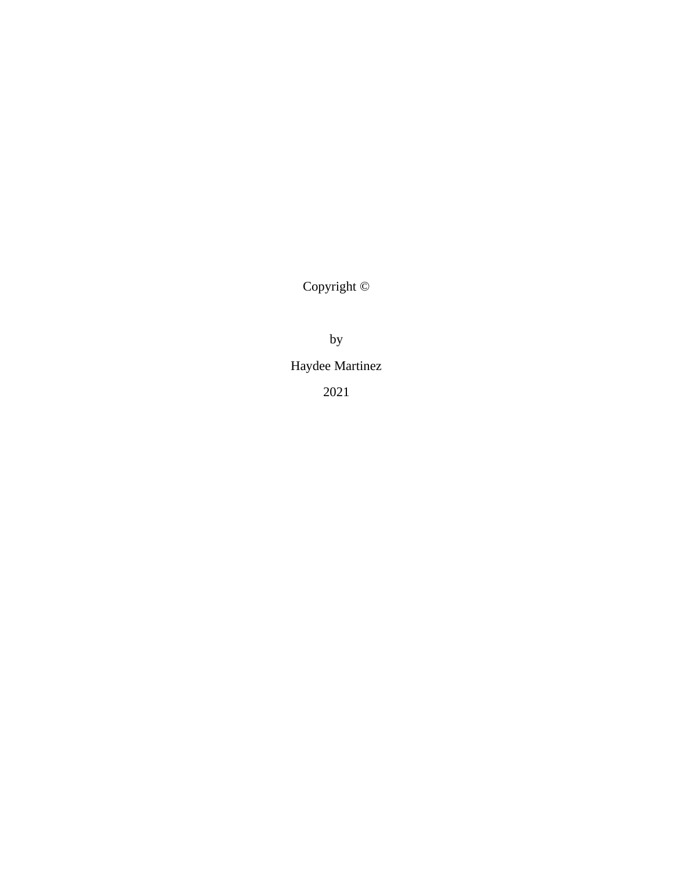Copyright ©

by

Haydee Martinez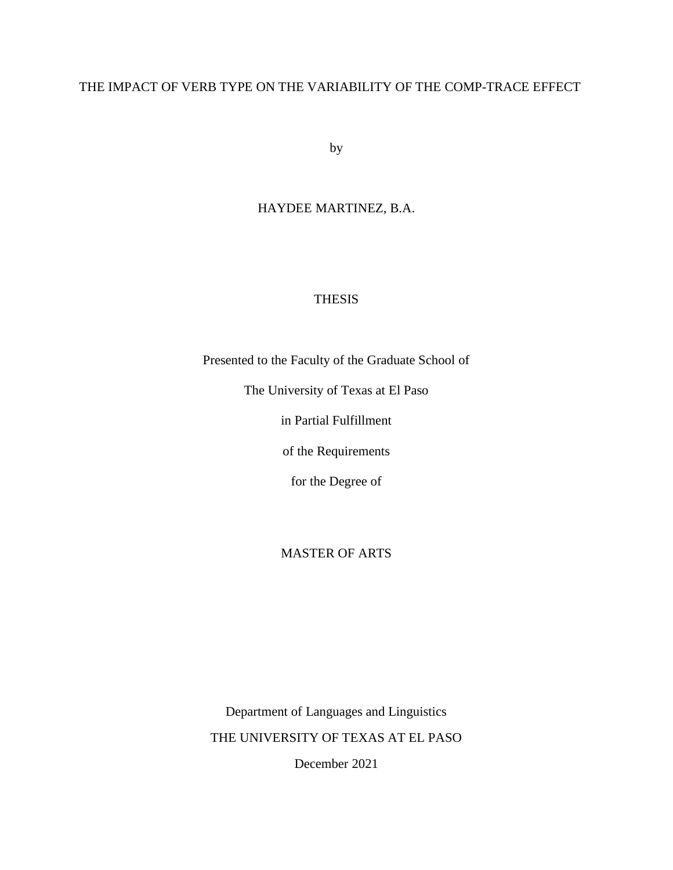# THE IMPACT OF VERB TYPE ON THE VARIABILITY OF THE COMP-TRACE EFFECT

by

# HAYDEE MARTINEZ, B.A.

# THESIS

Presented to the Faculty of the Graduate School of

The University of Texas at El Paso

in Partial Fulfillment

of the Requirements

for the Degree of

# MASTER OF ARTS

Department of Languages and Linguistics THE UNIVERSITY OF TEXAS AT EL PASO December 2021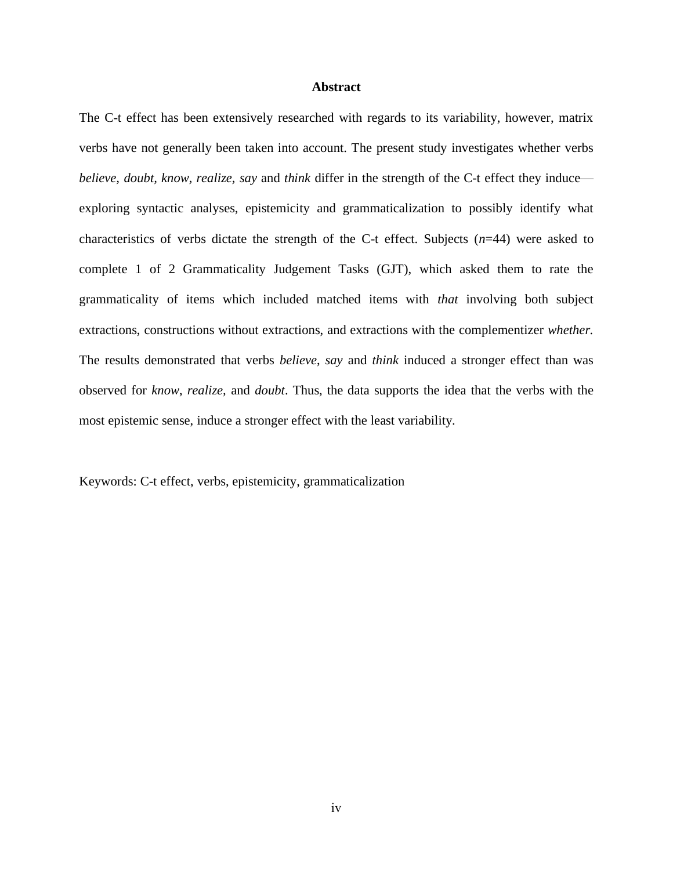#### **Abstract**

<span id="page-4-0"></span>The C-t effect has been extensively researched with regards to its variability, however, matrix verbs have not generally been taken into account. The present study investigates whether verbs *believe, doubt, know, realize, say and <i>think* differ in the strength of the C-t effect they induce exploring syntactic analyses, epistemicity and grammaticalization to possibly identify what characteristics of verbs dictate the strength of the C-t effect. Subjects (*n*=44) were asked to complete 1 of 2 Grammaticality Judgement Tasks (GJT), which asked them to rate the grammaticality of items which included matched items with *that* involving both subject extractions, constructions without extractions, and extractions with the complementizer *whether.* The results demonstrated that verbs *believe*, *say* and *think* induced a stronger effect than was observed for *know*, *realize,* and *doubt*. Thus, the data supports the idea that the verbs with the most epistemic sense, induce a stronger effect with the least variability.

Keywords: C-t effect, verbs, epistemicity, grammaticalization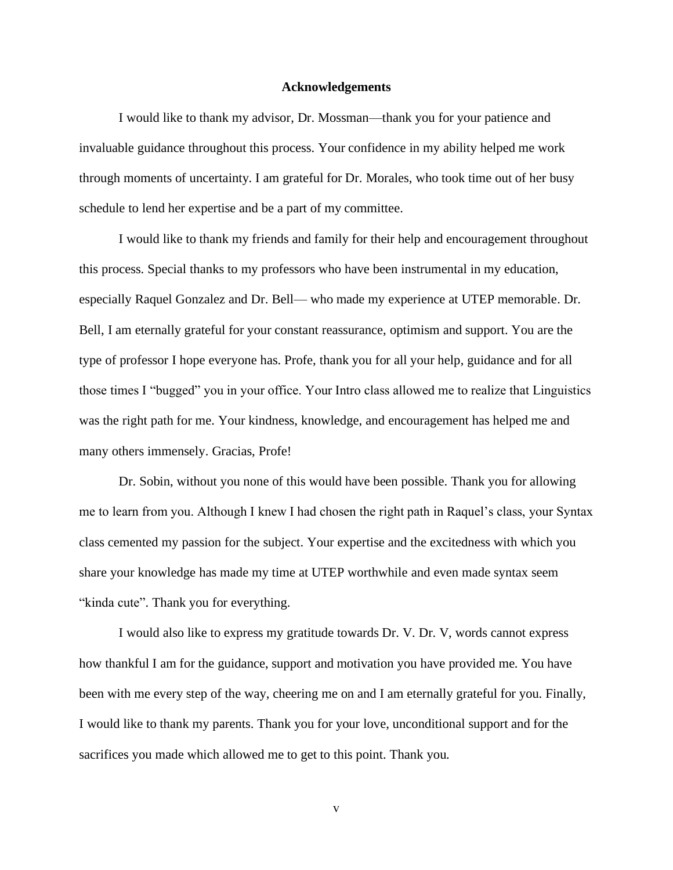#### **Acknowledgements**

<span id="page-5-0"></span>I would like to thank my advisor, Dr. Mossman—thank you for your patience and invaluable guidance throughout this process. Your confidence in my ability helped me work through moments of uncertainty. I am grateful for Dr. Morales, who took time out of her busy schedule to lend her expertise and be a part of my committee.

I would like to thank my friends and family for their help and encouragement throughout this process. Special thanks to my professors who have been instrumental in my education, especially Raquel Gonzalez and Dr. Bell— who made my experience at UTEP memorable. Dr. Bell, I am eternally grateful for your constant reassurance, optimism and support. You are the type of professor I hope everyone has. Profe, thank you for all your help, guidance and for all those times I "bugged" you in your office. Your Intro class allowed me to realize that Linguistics was the right path for me. Your kindness, knowledge, and encouragement has helped me and many others immensely. Gracias, Profe!

Dr. Sobin, without you none of this would have been possible. Thank you for allowing me to learn from you. Although I knew I had chosen the right path in Raquel's class, your Syntax class cemented my passion for the subject. Your expertise and the excitedness with which you share your knowledge has made my time at UTEP worthwhile and even made syntax seem "kinda cute". Thank you for everything.

I would also like to express my gratitude towards Dr. V. Dr. V, words cannot express how thankful I am for the guidance, support and motivation you have provided me. You have been with me every step of the way, cheering me on and I am eternally grateful for you. Finally, I would like to thank my parents. Thank you for your love, unconditional support and for the sacrifices you made which allowed me to get to this point. Thank you.

v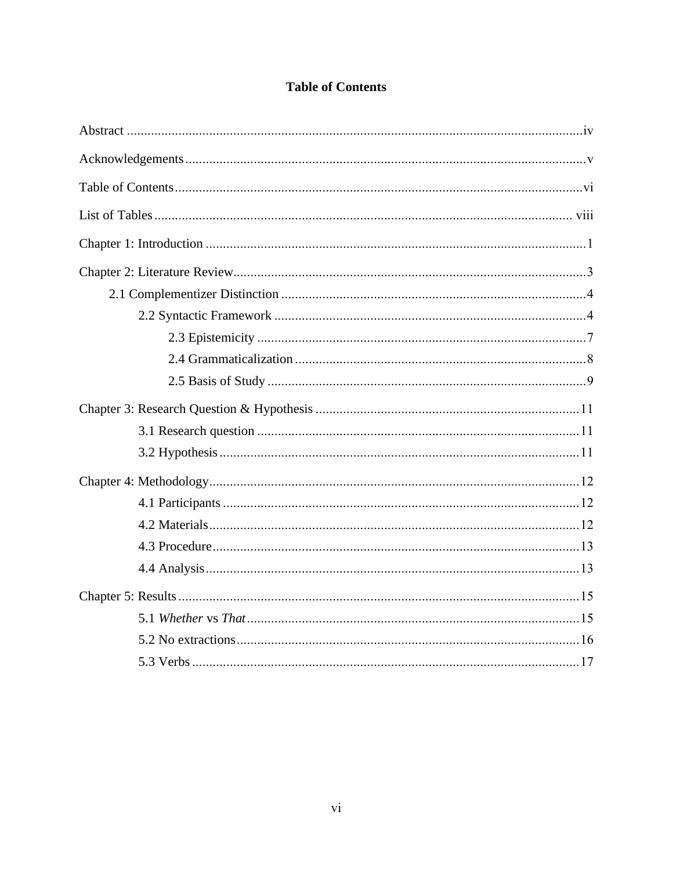<span id="page-6-0"></span>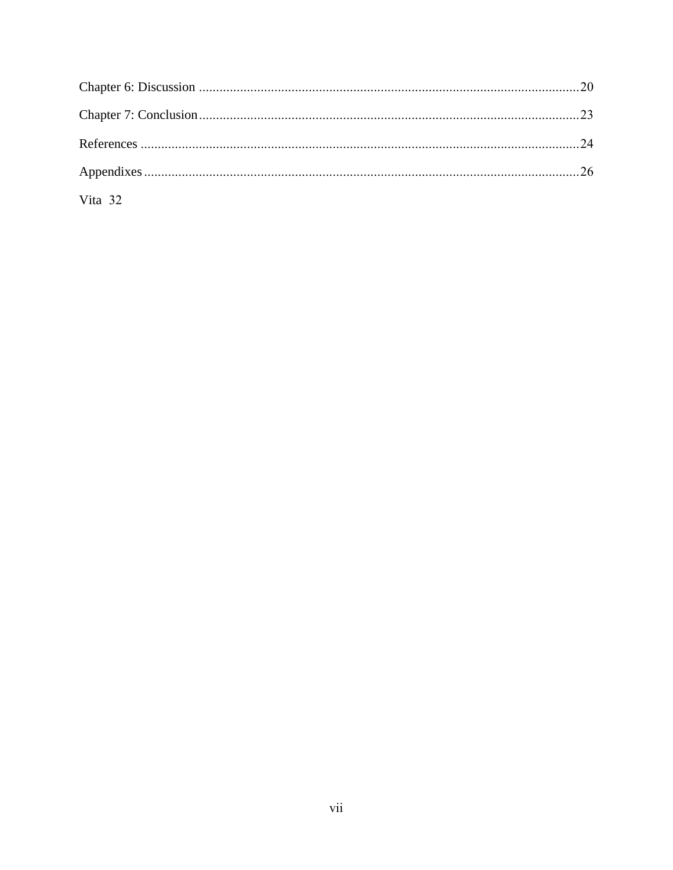| Vita 32 |  |
|---------|--|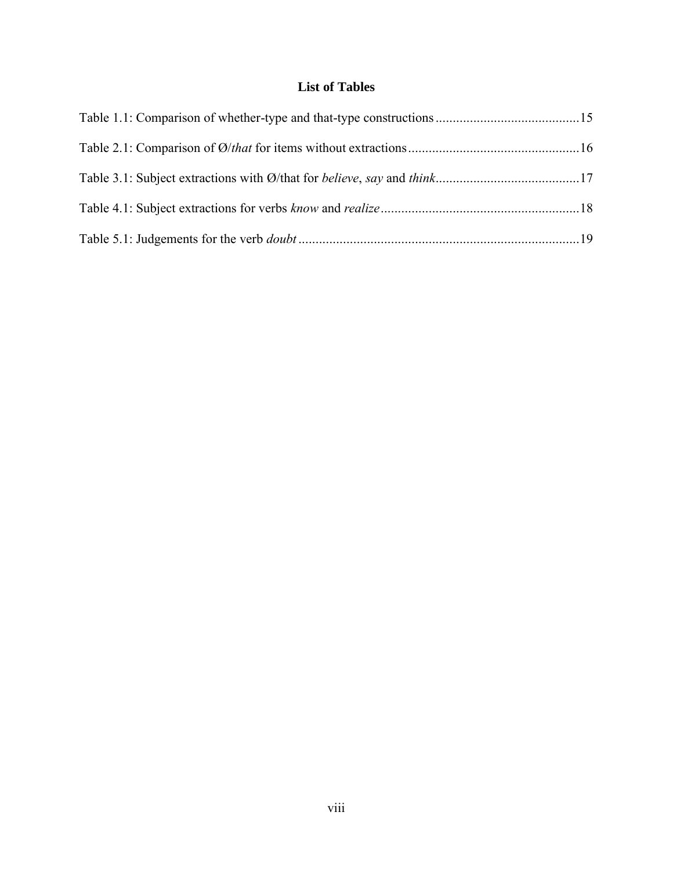# **List of Tables**

<span id="page-8-0"></span>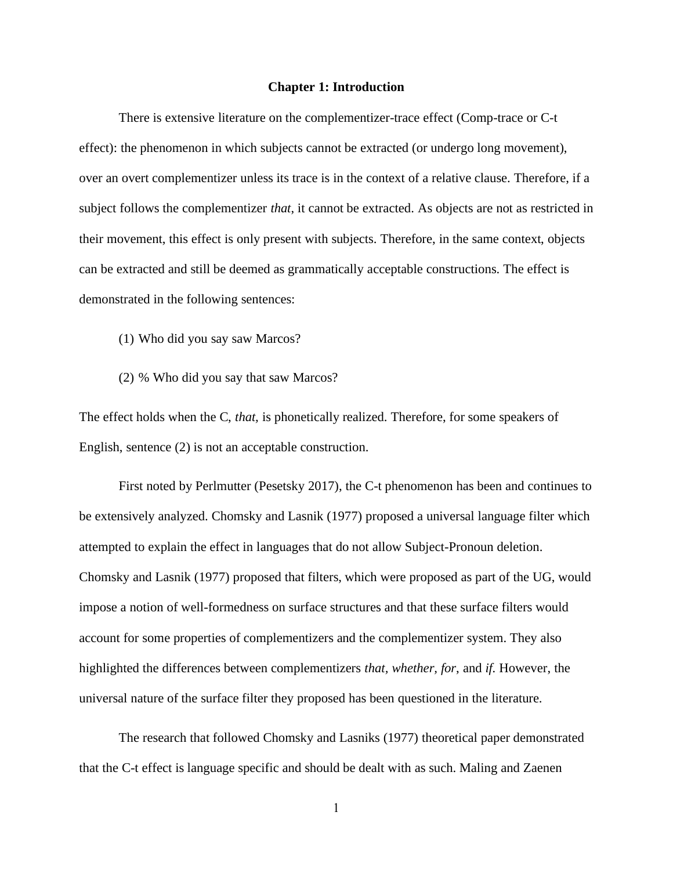#### **Chapter 1: Introduction**

<span id="page-9-0"></span>There is extensive literature on the complementizer-trace effect (Comp-trace or C-t effect): the phenomenon in which subjects cannot be extracted (or undergo long movement), over an overt complementizer unless its trace is in the context of a relative clause. Therefore, if a subject follows the complementizer *that*, it cannot be extracted. As objects are not as restricted in their movement, this effect is only present with subjects. Therefore, in the same context, objects can be extracted and still be deemed as grammatically acceptable constructions. The effect is demonstrated in the following sentences:

- (1) Who did you say saw Marcos?
- (2) % Who did you say that saw Marcos?

The effect holds when the C, *that,* is phonetically realized. Therefore, for some speakers of English, sentence (2) is not an acceptable construction.

First noted by Perlmutter (Pesetsky 2017), the C-t phenomenon has been and continues to be extensively analyzed. Chomsky and Lasnik (1977) proposed a universal language filter which attempted to explain the effect in languages that do not allow Subject-Pronoun deletion. Chomsky and Lasnik (1977) proposed that filters, which were proposed as part of the UG, would impose a notion of well-formedness on surface structures and that these surface filters would account for some properties of complementizers and the complementizer system. They also highlighted the differences between complementizers *that, whether, for*, and *if.* However, the universal nature of the surface filter they proposed has been questioned in the literature.

The research that followed Chomsky and Lasniks (1977) theoretical paper demonstrated that the C-t effect is language specific and should be dealt with as such. Maling and Zaenen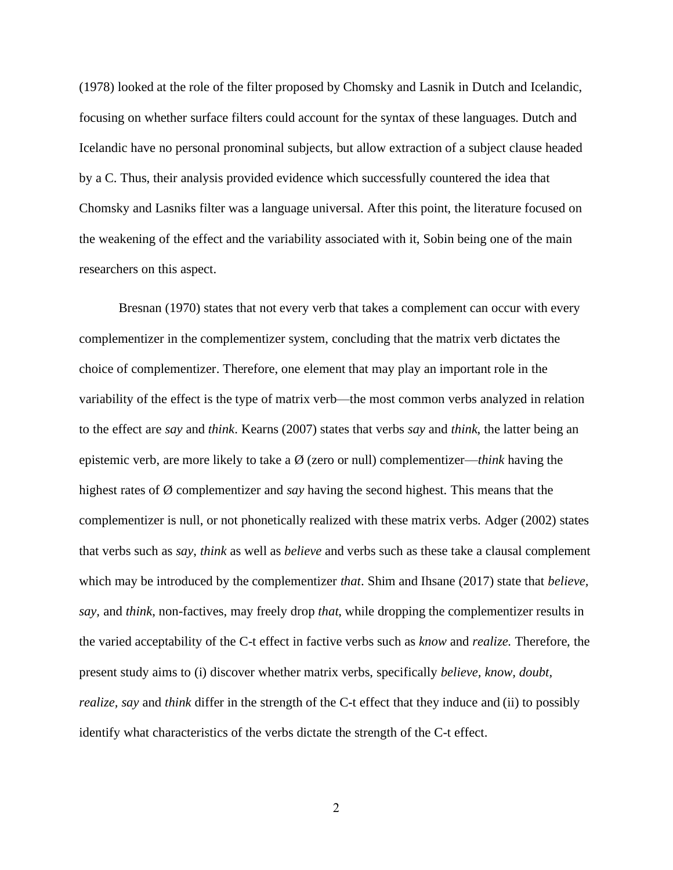(1978) looked at the role of the filter proposed by Chomsky and Lasnik in Dutch and Icelandic, focusing on whether surface filters could account for the syntax of these languages. Dutch and Icelandic have no personal pronominal subjects, but allow extraction of a subject clause headed by a C. Thus, their analysis provided evidence which successfully countered the idea that Chomsky and Lasniks filter was a language universal. After this point, the literature focused on the weakening of the effect and the variability associated with it, Sobin being one of the main researchers on this aspect.

Bresnan (1970) states that not every verb that takes a complement can occur with every complementizer in the complementizer system, concluding that the matrix verb dictates the choice of complementizer. Therefore, one element that may play an important role in the variability of the effect is the type of matrix verb—the most common verbs analyzed in relation to the effect are *say* and *think*. Kearns (2007) states that verbs *say* and *think*, the latter being an epistemic verb, are more likely to take a Ø (zero or null) complementizer—*think* having the highest rates of Ø complementizer and *say* having the second highest. This means that the complementizer is null, or not phonetically realized with these matrix verbs. Adger (2002) states that verbs such as *say*, *think* as well as *believe* and verbs such as these take a clausal complement which may be introduced by the complementizer *that*. Shim and Ihsane (2017) state that *believe, say,* and *think*, non-factives, may freely drop *that*, while dropping the complementizer results in the varied acceptability of the C-t effect in factive verbs such as *know* and *realize.* Therefore, the present study aims to (i) discover whether matrix verbs, specifically *believe, know, doubt, realize, say* and *think* differ in the strength of the C-t effect that they induce and (ii) to possibly identify what characteristics of the verbs dictate the strength of the C-t effect.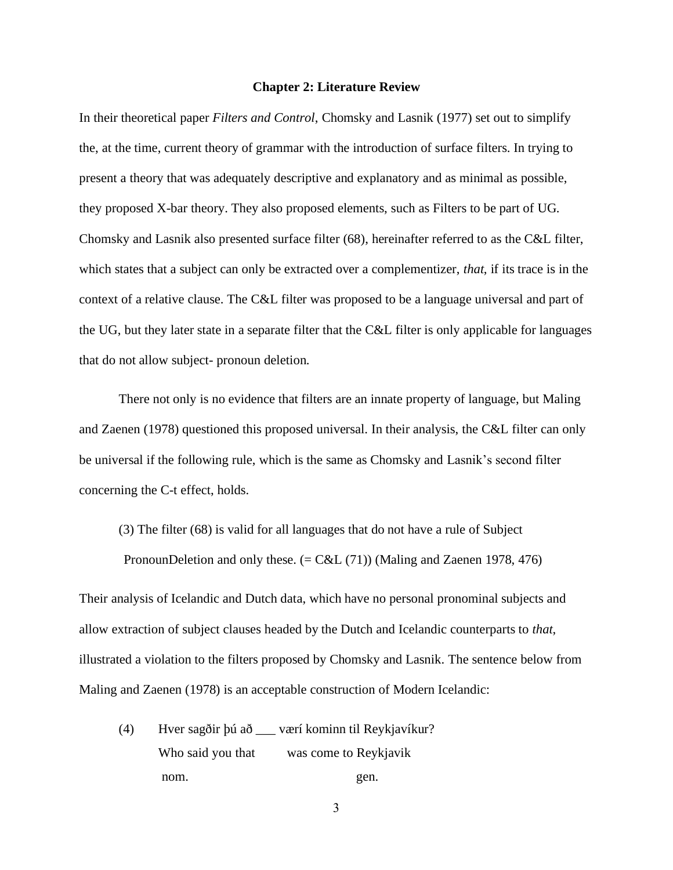#### **Chapter 2: Literature Review**

<span id="page-11-0"></span>In their theoretical paper *Filters and Control*, Chomsky and Lasnik (1977) set out to simplify the, at the time, current theory of grammar with the introduction of surface filters. In trying to present a theory that was adequately descriptive and explanatory and as minimal as possible, they proposed X-bar theory. They also proposed elements, such as Filters to be part of UG. Chomsky and Lasnik also presented surface filter (68), hereinafter referred to as the C&L filter, which states that a subject can only be extracted over a complementizer, *that*, if its trace is in the context of a relative clause. The C&L filter was proposed to be a language universal and part of the UG, but they later state in a separate filter that the C&L filter is only applicable for languages that do not allow subject- pronoun deletion.

There not only is no evidence that filters are an innate property of language, but Maling and Zaenen (1978) questioned this proposed universal. In their analysis, the C&L filter can only be universal if the following rule, which is the same as Chomsky and Lasnik's second filter concerning the C-t effect, holds.

(3) The filter (68) is valid for all languages that do not have a rule of Subject

PronounDeletion and only these.  $(= C&L(71))$  (Maling and Zaenen 1978, 476)

Their analysis of Icelandic and Dutch data, which have no personal pronominal subjects and allow extraction of subject clauses headed by the Dutch and Icelandic counterparts to *that*, illustrated a violation to the filters proposed by Chomsky and Lasnik. The sentence below from Maling and Zaenen (1978) is an acceptable construction of Modern Icelandic:

(4) Hver sagðir þú að \_\_\_ værí kominn til Reykjavíkur? Who said you that was come to Reykjavik nom. gen.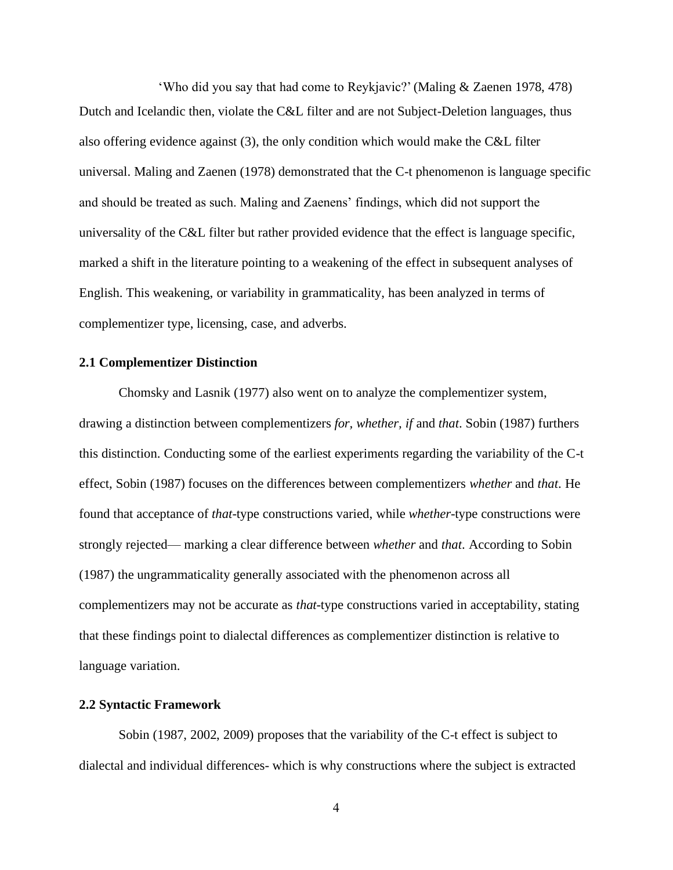'Who did you say that had come to Reykjavic?' (Maling & Zaenen 1978, 478) Dutch and Icelandic then, violate the C&L filter and are not Subject-Deletion languages, thus also offering evidence against (3), the only condition which would make the C&L filter universal. Maling and Zaenen (1978) demonstrated that the C-t phenomenon is language specific and should be treated as such. Maling and Zaenens' findings, which did not support the universality of the C&L filter but rather provided evidence that the effect is language specific, marked a shift in the literature pointing to a weakening of the effect in subsequent analyses of English. This weakening, or variability in grammaticality, has been analyzed in terms of complementizer type, licensing, case, and adverbs.

# <span id="page-12-0"></span>**2.1 Complementizer Distinction**

Chomsky and Lasnik (1977) also went on to analyze the complementizer system, drawing a distinction between complementizers *for, whether, if* and *that*. Sobin (1987) furthers this distinction. Conducting some of the earliest experiments regarding the variability of the C-t effect, Sobin (1987) focuses on the differences between complementizers *whether* and *that*. He found that acceptance of *that*-type constructions varied, while *whether*-type constructions were strongly rejected— marking a clear difference between *whether* and *that*. According to Sobin (1987) the ungrammaticality generally associated with the phenomenon across all complementizers may not be accurate as *that*-type constructions varied in acceptability, stating that these findings point to dialectal differences as complementizer distinction is relative to language variation.

#### <span id="page-12-1"></span>**2.2 Syntactic Framework**

Sobin (1987, 2002, 2009) proposes that the variability of the C-t effect is subject to dialectal and individual differences- which is why constructions where the subject is extracted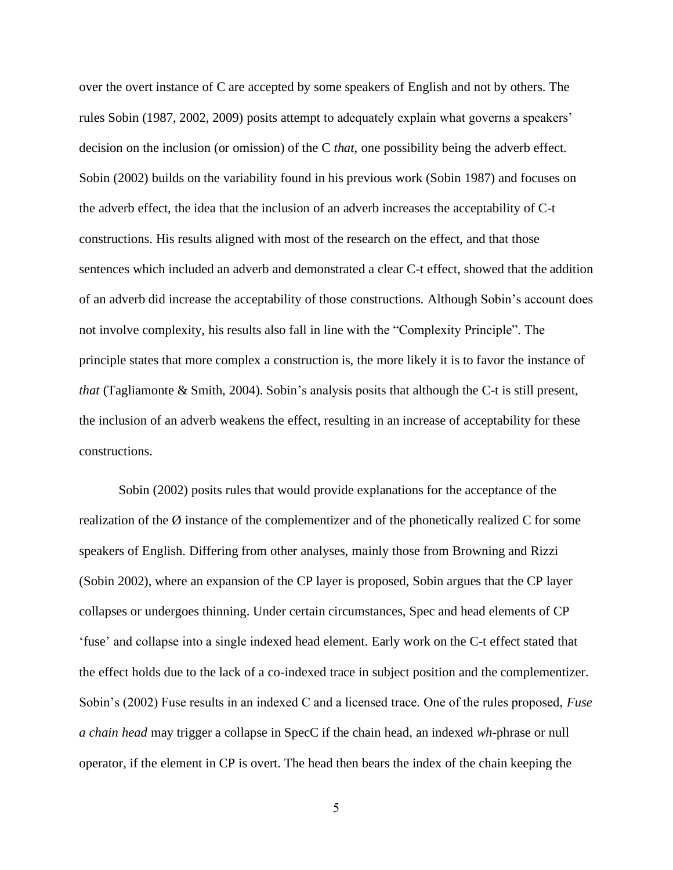over the overt instance of C are accepted by some speakers of English and not by others. The rules Sobin (1987, 2002, 2009) posits attempt to adequately explain what governs a speakers' decision on the inclusion (or omission) of the C *that*, one possibility being the adverb effect. Sobin (2002) builds on the variability found in his previous work (Sobin 1987) and focuses on the adverb effect, the idea that the inclusion of an adverb increases the acceptability of C-t constructions. His results aligned with most of the research on the effect, and that those sentences which included an adverb and demonstrated a clear C-t effect, showed that the addition of an adverb did increase the acceptability of those constructions. Although Sobin's account does not involve complexity, his results also fall in line with the "Complexity Principle". The principle states that more complex a construction is, the more likely it is to favor the instance of *that* (Tagliamonte & Smith, 2004). Sobin's analysis posits that although the C-t is still present, the inclusion of an adverb weakens the effect, resulting in an increase of acceptability for these constructions.

Sobin (2002) posits rules that would provide explanations for the acceptance of the realization of the Ø instance of the complementizer and of the phonetically realized C for some speakers of English. Differing from other analyses, mainly those from Browning and Rizzi (Sobin 2002), where an expansion of the CP layer is proposed, Sobin argues that the CP layer collapses or undergoes thinning. Under certain circumstances, Spec and head elements of CP 'fuse' and collapse into a single indexed head element. Early work on the C-t effect stated that the effect holds due to the lack of a co-indexed trace in subject position and the complementizer. Sobin's (2002) Fuse results in an indexed C and a licensed trace. One of the rules proposed, *Fuse a chain head* may trigger a collapse in SpecC if the chain head, an indexed *wh*-phrase or null operator, if the element in CP is overt. The head then bears the index of the chain keeping the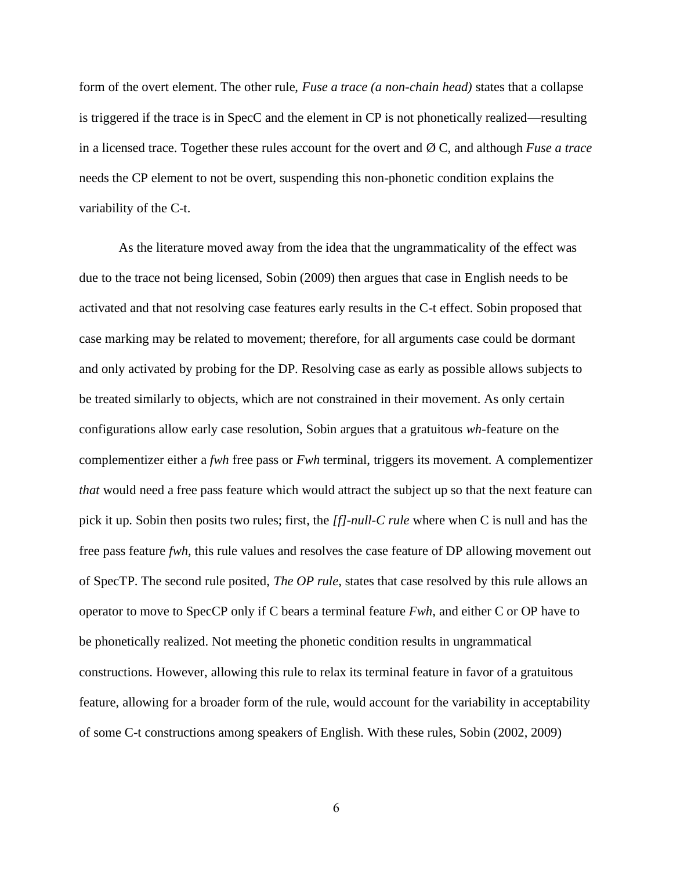form of the overt element. The other rule, *Fuse a trace (a non-chain head)* states that a collapse is triggered if the trace is in SpecC and the element in CP is not phonetically realized—resulting in a licensed trace. Together these rules account for the overt and Ø C, and although *Fuse a trace* needs the CP element to not be overt, suspending this non-phonetic condition explains the variability of the C-t.

As the literature moved away from the idea that the ungrammaticality of the effect was due to the trace not being licensed, Sobin (2009) then argues that case in English needs to be activated and that not resolving case features early results in the C-t effect. Sobin proposed that case marking may be related to movement; therefore, for all arguments case could be dormant and only activated by probing for the DP. Resolving case as early as possible allows subjects to be treated similarly to objects, which are not constrained in their movement. As only certain configurations allow early case resolution, Sobin argues that a gratuitous *wh-*feature on the complementizer either a *fwh* free pass or *Fwh* terminal, triggers its movement. A complementizer *that* would need a free pass feature which would attract the subject up so that the next feature can pick it up. Sobin then posits two rules; first, the *[f]-null-C rule* where when C is null and has the free pass feature *fwh*, this rule values and resolves the case feature of DP allowing movement out of SpecTP. The second rule posited, *The OP rule*, states that case resolved by this rule allows an operator to move to SpecCP only if C bears a terminal feature *Fwh,* and either C or OP have to be phonetically realized. Not meeting the phonetic condition results in ungrammatical constructions. However, allowing this rule to relax its terminal feature in favor of a gratuitous feature, allowing for a broader form of the rule, would account for the variability in acceptability of some C-t constructions among speakers of English. With these rules, Sobin (2002, 2009)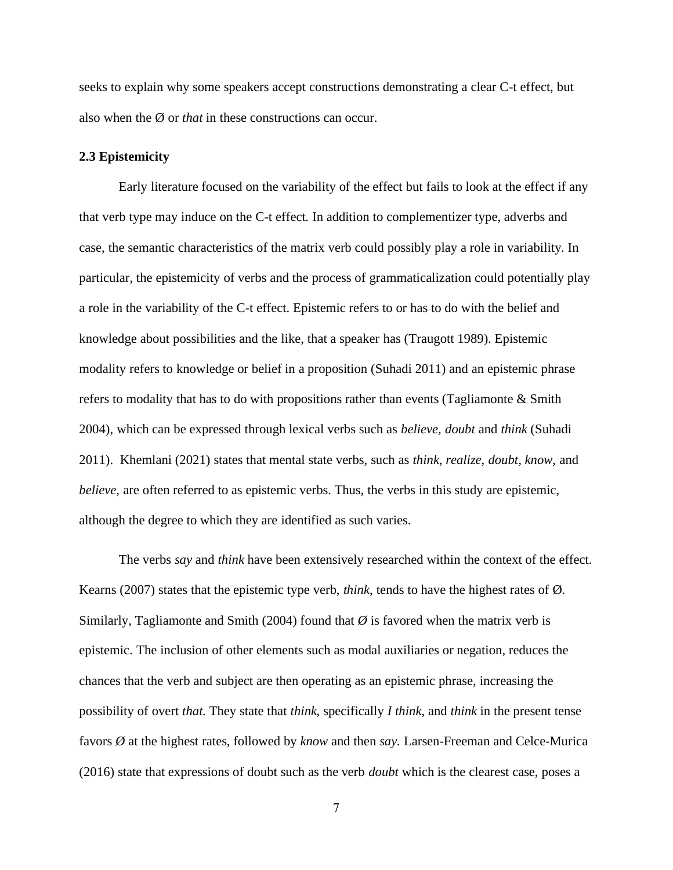seeks to explain why some speakers accept constructions demonstrating a clear C-t effect, but also when the Ø or *that* in these constructions can occur.

#### <span id="page-15-0"></span>**2.3 Epistemicity**

Early literature focused on the variability of the effect but fails to look at the effect if any that verb type may induce on the C-t effect. In addition to complementizer type, adverbs and case, the semantic characteristics of the matrix verb could possibly play a role in variability. In particular, the epistemicity of verbs and the process of grammaticalization could potentially play a role in the variability of the C-t effect. Epistemic refers to or has to do with the belief and knowledge about possibilities and the like, that a speaker has (Traugott 1989). Epistemic modality refers to knowledge or belief in a proposition (Suhadi 2011) and an epistemic phrase refers to modality that has to do with propositions rather than events (Tagliamonte & Smith 2004), which can be expressed through lexical verbs such as *believe, doubt* and *think* (Suhadi 2011). Khemlani (2021) states that mental state verbs, such as *think, realize, doubt, know,* and *believe*, are often referred to as epistemic verbs. Thus, the verbs in this study are epistemic, although the degree to which they are identified as such varies.

The verbs *say* and *think* have been extensively researched within the context of the effect. Kearns (2007) states that the epistemic type verb, *think*, tends to have the highest rates of Ø. Similarly, Tagliamonte and Smith (2004) found that  $\varnothing$  is favored when the matrix verb is epistemic. The inclusion of other elements such as modal auxiliaries or negation, reduces the chances that the verb and subject are then operating as an epistemic phrase, increasing the possibility of overt *that*. They state that *think*, specifically *I think*, and *think* in the present tense favors *Ø* at the highest rates, followed by *know* and then *say.* Larsen-Freeman and Celce-Murica (2016) state that expressions of doubt such as the verb *doubt* which is the clearest case, poses a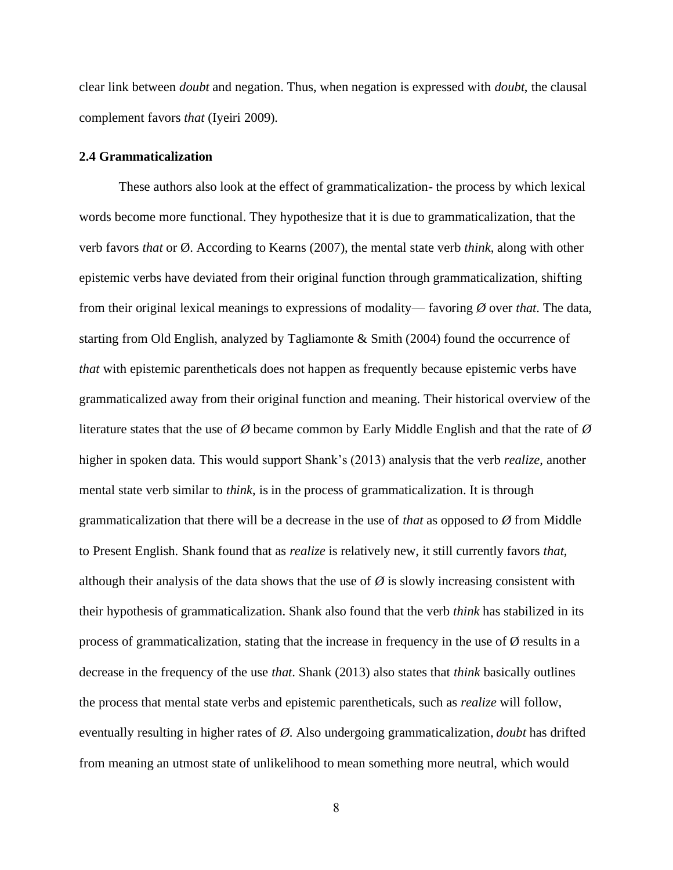clear link between *doubt* and negation. Thus, when negation is expressed with *doubt*, the clausal complement favors *that* (Iyeiri 2009)*.*

#### <span id="page-16-0"></span>**2.4 Grammaticalization**

These authors also look at the effect of grammaticalization- the process by which lexical words become more functional. They hypothesize that it is due to grammaticalization, that the verb favors *that* or Ø. According to Kearns (2007), the mental state verb *think*, along with other epistemic verbs have deviated from their original function through grammaticalization, shifting from their original lexical meanings to expressions of modality— favoring *Ø* over *that*. The data, starting from Old English, analyzed by Tagliamonte & Smith (2004) found the occurrence of *that* with epistemic parentheticals does not happen as frequently because epistemic verbs have grammaticalized away from their original function and meaning. Their historical overview of the literature states that the use of *Ø* became common by Early Middle English and that the rate of *Ø* higher in spoken data. This would support Shank's (2013) analysis that the verb *realize*, another mental state verb similar to *think*, is in the process of grammaticalization. It is through grammaticalization that there will be a decrease in the use of *that* as opposed to *Ø* from Middle to Present English. Shank found that as *realize* is relatively new, it still currently favors *that*, although their analysis of the data shows that the use of  $\varnothing$  is slowly increasing consistent with their hypothesis of grammaticalization. Shank also found that the verb *think* has stabilized in its process of grammaticalization, stating that the increase in frequency in the use of  $\emptyset$  results in a decrease in the frequency of the use *that*. Shank (2013) also states that *think* basically outlines the process that mental state verbs and epistemic parentheticals, such as *realize* will follow, eventually resulting in higher rates of *Ø*. Also undergoing grammaticalization, *doubt* has drifted from meaning an utmost state of unlikelihood to mean something more neutral, which would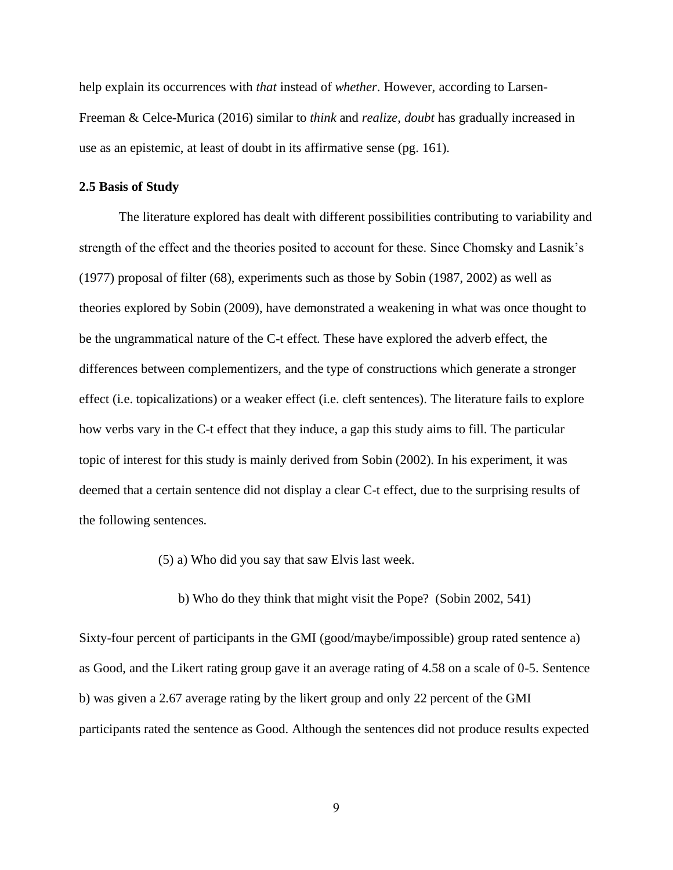help explain its occurrences with *that* instead of *whether*. However, according to Larsen-Freeman & Celce-Murica (2016) similar to *think* and *realize*, *doubt* has gradually increased in use as an epistemic, at least of doubt in its affirmative sense (pg. 161).

#### <span id="page-17-0"></span>**2.5 Basis of Study**

The literature explored has dealt with different possibilities contributing to variability and strength of the effect and the theories posited to account for these. Since Chomsky and Lasnik's (1977) proposal of filter (68), experiments such as those by Sobin (1987, 2002) as well as theories explored by Sobin (2009), have demonstrated a weakening in what was once thought to be the ungrammatical nature of the C-t effect. These have explored the adverb effect, the differences between complementizers, and the type of constructions which generate a stronger effect (i.e. topicalizations) or a weaker effect (i.e. cleft sentences). The literature fails to explore how verbs vary in the C-t effect that they induce, a gap this study aims to fill. The particular topic of interest for this study is mainly derived from Sobin (2002). In his experiment, it was deemed that a certain sentence did not display a clear C-t effect, due to the surprising results of the following sentences.

(5) a) Who did you say that saw Elvis last week.

b) Who do they think that might visit the Pope? (Sobin 2002, 541)

Sixty-four percent of participants in the GMI (good/maybe/impossible) group rated sentence a) as Good, and the Likert rating group gave it an average rating of 4.58 on a scale of 0-5. Sentence b) was given a 2.67 average rating by the likert group and only 22 percent of the GMI participants rated the sentence as Good. Although the sentences did not produce results expected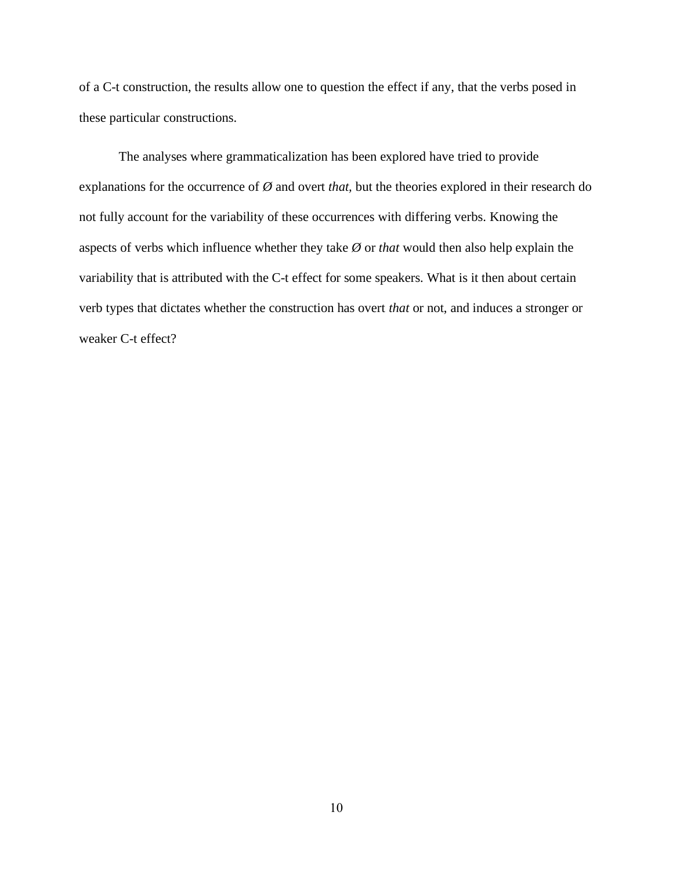of a C-t construction, the results allow one to question the effect if any, that the verbs posed in these particular constructions.

The analyses where grammaticalization has been explored have tried to provide explanations for the occurrence of *Ø* and overt *that,* but the theories explored in their research do not fully account for the variability of these occurrences with differing verbs. Knowing the aspects of verbs which influence whether they take *Ø* or *that* would then also help explain the variability that is attributed with the C-t effect for some speakers. What is it then about certain verb types that dictates whether the construction has overt *that* or not, and induces a stronger or weaker C-t effect?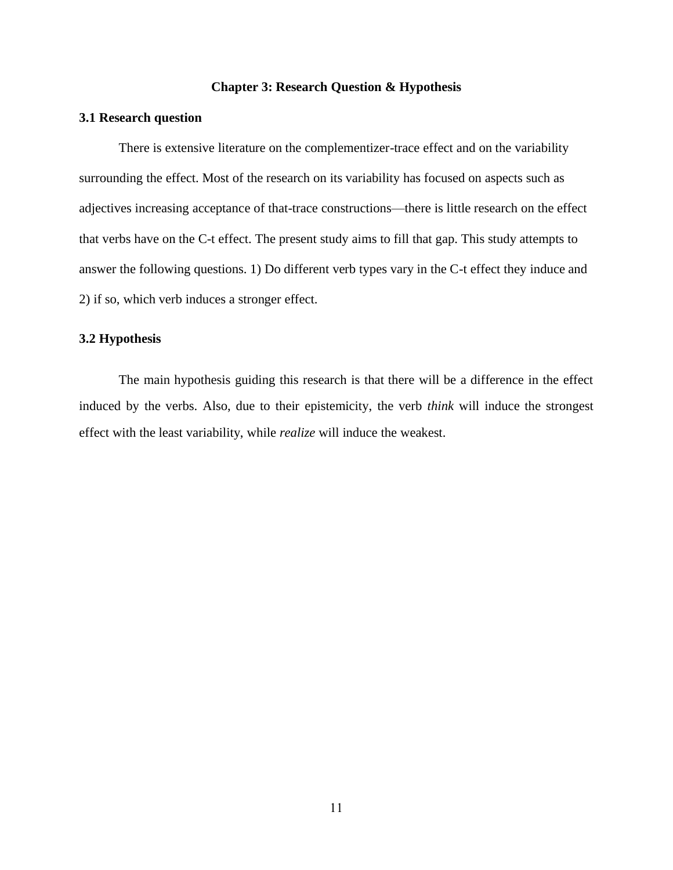#### **Chapter 3: Research Question & Hypothesis**

### <span id="page-19-1"></span><span id="page-19-0"></span>**3.1 Research question**

There is extensive literature on the complementizer-trace effect and on the variability surrounding the effect. Most of the research on its variability has focused on aspects such as adjectives increasing acceptance of that-trace constructions—there is little research on the effect that verbs have on the C-t effect. The present study aims to fill that gap. This study attempts to answer the following questions. 1) Do different verb types vary in the C-t effect they induce and 2) if so, which verb induces a stronger effect.

### <span id="page-19-2"></span>**3.2 Hypothesis**

The main hypothesis guiding this research is that there will be a difference in the effect induced by the verbs. Also, due to their epistemicity, the verb *think* will induce the strongest effect with the least variability, while *realize* will induce the weakest.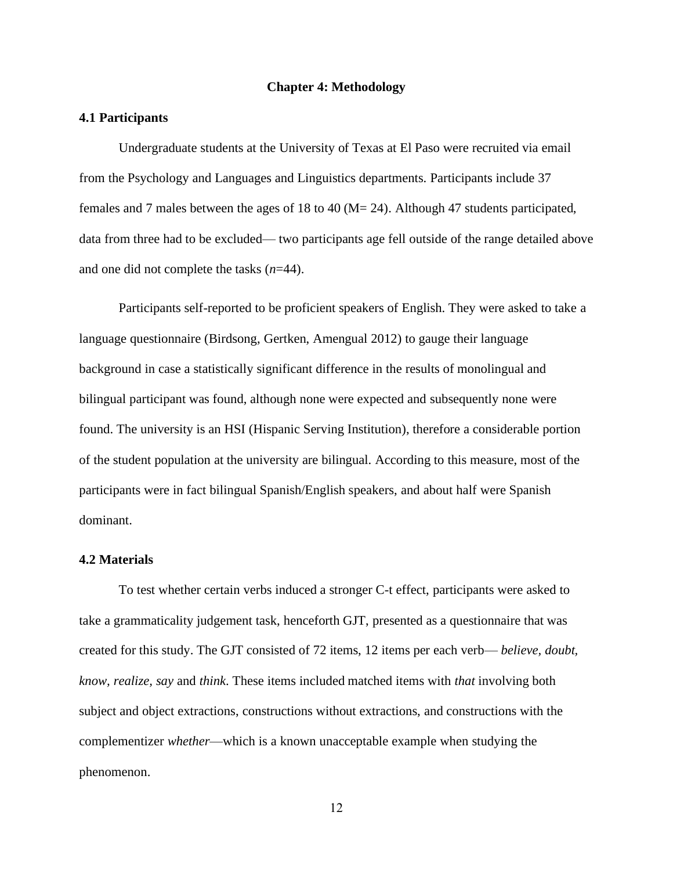#### **Chapter 4: Methodology**

#### <span id="page-20-1"></span><span id="page-20-0"></span>**4.1 Participants**

Undergraduate students at the University of Texas at El Paso were recruited via email from the Psychology and Languages and Linguistics departments. Participants include 37 females and 7 males between the ages of 18 to 40 (M= 24). Although 47 students participated, data from three had to be excluded— two participants age fell outside of the range detailed above and one did not complete the tasks (*n*=44).

Participants self-reported to be proficient speakers of English. They were asked to take a language questionnaire (Birdsong, Gertken, Amengual 2012) to gauge their language background in case a statistically significant difference in the results of monolingual and bilingual participant was found, although none were expected and subsequently none were found. The university is an HSI (Hispanic Serving Institution), therefore a considerable portion of the student population at the university are bilingual. According to this measure, most of the participants were in fact bilingual Spanish/English speakers, and about half were Spanish dominant.

#### <span id="page-20-2"></span>**4.2 Materials**

To test whether certain verbs induced a stronger C-t effect, participants were asked to take a grammaticality judgement task, henceforth GJT, presented as a questionnaire that was created for this study. The GJT consisted of 72 items, 12 items per each verb— *believe, doubt, know, realize, say* and *think*. These items included matched items with *that* involving both subject and object extractions, constructions without extractions, and constructions with the complementizer *whether*—which is a known unacceptable example when studying the phenomenon.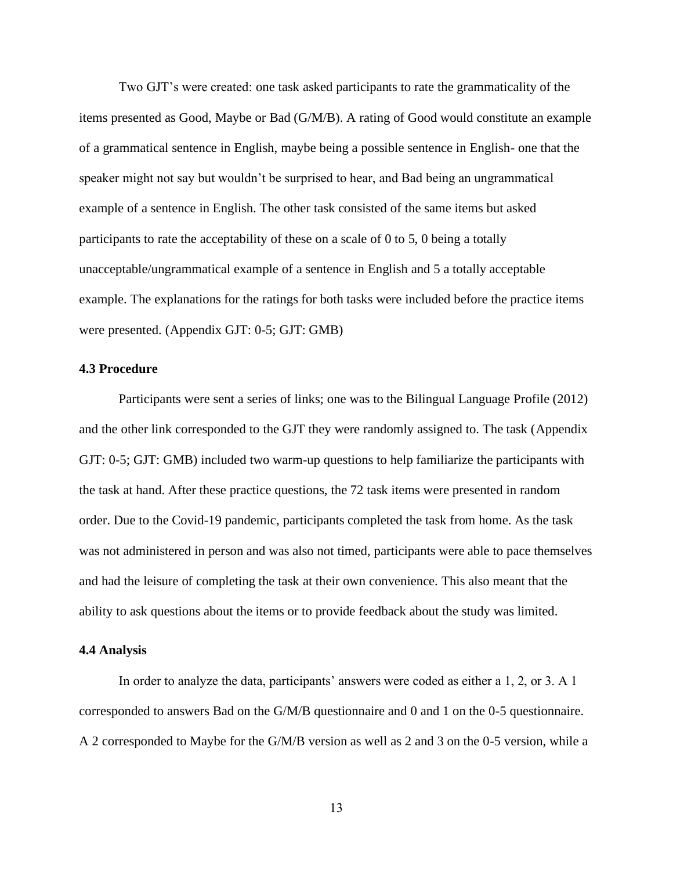Two GJT's were created: one task asked participants to rate the grammaticality of the items presented as Good, Maybe or Bad (G/M/B). A rating of Good would constitute an example of a grammatical sentence in English, maybe being a possible sentence in English- one that the speaker might not say but wouldn't be surprised to hear, and Bad being an ungrammatical example of a sentence in English. The other task consisted of the same items but asked participants to rate the acceptability of these on a scale of 0 to 5, 0 being a totally unacceptable/ungrammatical example of a sentence in English and 5 a totally acceptable example. The explanations for the ratings for both tasks were included before the practice items were presented. (Appendix GJT: 0-5; GJT: GMB)

#### <span id="page-21-0"></span>**4.3 Procedure**

Participants were sent a series of links; one was to the Bilingual Language Profile (2012) and the other link corresponded to the GJT they were randomly assigned to. The task (Appendix GJT: 0-5; GJT: GMB) included two warm-up questions to help familiarize the participants with the task at hand. After these practice questions, the 72 task items were presented in random order. Due to the Covid-19 pandemic, participants completed the task from home. As the task was not administered in person and was also not timed, participants were able to pace themselves and had the leisure of completing the task at their own convenience. This also meant that the ability to ask questions about the items or to provide feedback about the study was limited.

#### <span id="page-21-1"></span>**4.4 Analysis**

In order to analyze the data, participants' answers were coded as either a 1, 2, or 3. A 1 corresponded to answers Bad on the G/M/B questionnaire and 0 and 1 on the 0-5 questionnaire. A 2 corresponded to Maybe for the G/M/B version as well as 2 and 3 on the 0-5 version, while a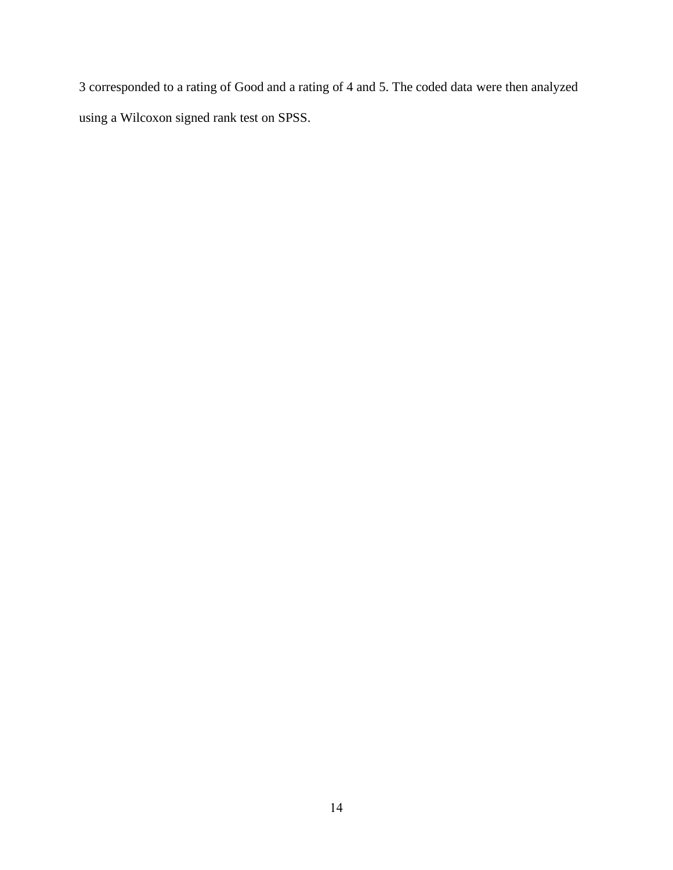3 corresponded to a rating of Good and a rating of 4 and 5. The coded data were then analyzed using a Wilcoxon signed rank test on SPSS.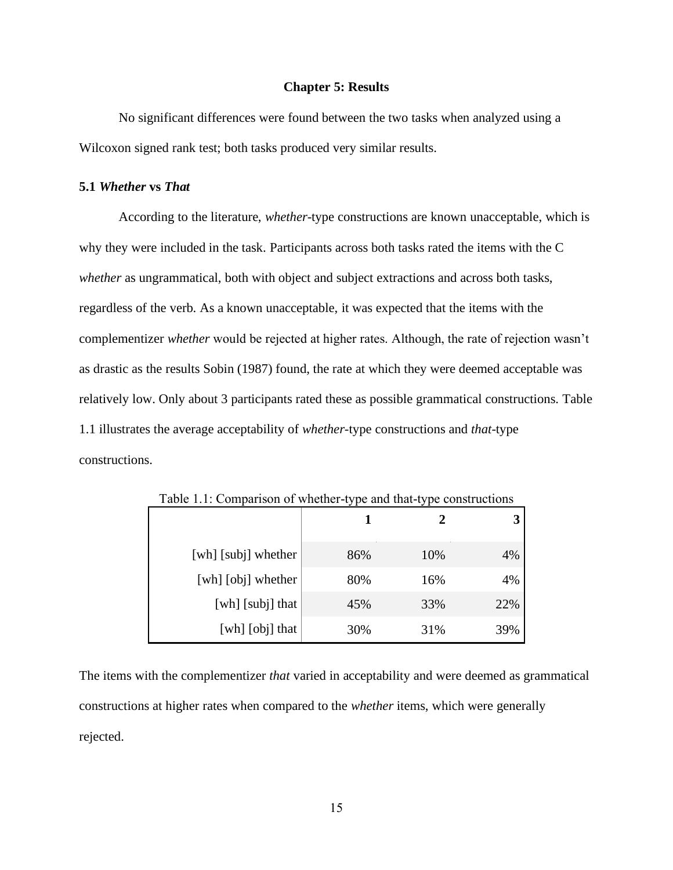#### **Chapter 5: Results**

<span id="page-23-0"></span>No significant differences were found between the two tasks when analyzed using a Wilcoxon signed rank test; both tasks produced very similar results.

#### <span id="page-23-1"></span>**5.1** *Whether* **vs** *That*

According to the literature, *whether*-type constructions are known unacceptable, which is why they were included in the task. Participants across both tasks rated the items with the C *whether* as ungrammatical, both with object and subject extractions and across both tasks, regardless of the verb. As a known unacceptable, it was expected that the items with the complementizer *whether* would be rejected at higher rates. Although, the rate of rejection wasn't as drastic as the results Sobin (1987) found, the rate at which they were deemed acceptable was relatively low. Only about 3 participants rated these as possible grammatical constructions. Table 1.1 illustrates the average acceptability of *whether*-type constructions and *that*-type constructions.

<span id="page-23-2"></span>

| [wh] [subj] whether | 86% | 10% | 4%  |
|---------------------|-----|-----|-----|
| [wh] [obj] whether  | 80% | 16% | 4%  |
| [wh] [subj] that    | 45% | 33% | 22% |
| [wh] [obj] that     | 30% | 31% | 39% |

Table 1.1: Comparison of whether-type and that-type constructions

The items with the complementizer *that* varied in acceptability and were deemed as grammatical constructions at higher rates when compared to the *whether* items, which were generally rejected.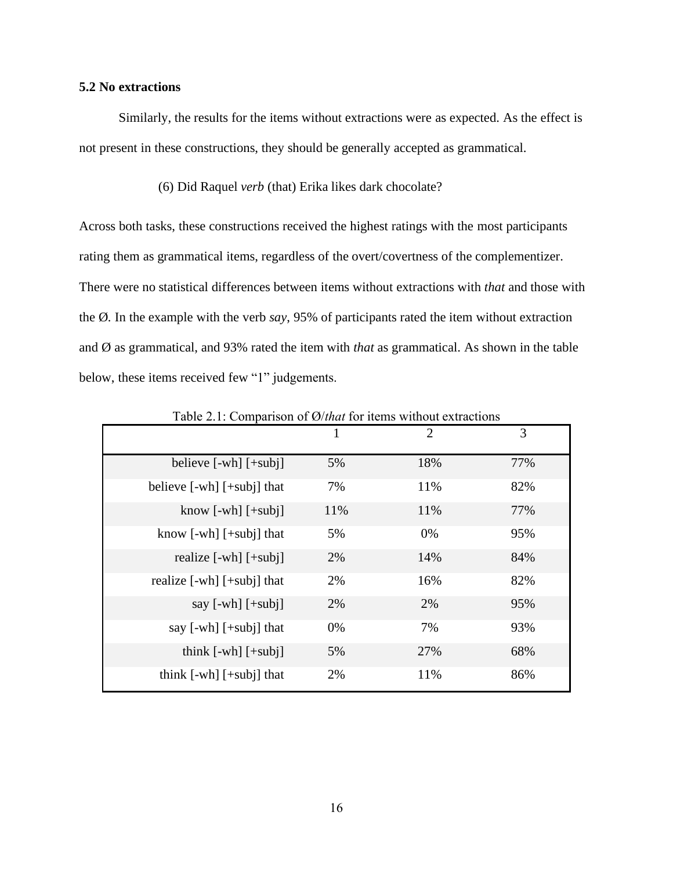# <span id="page-24-0"></span>**5.2 No extractions**

Similarly, the results for the items without extractions were as expected. As the effect is not present in these constructions, they should be generally accepted as grammatical.

#### (6) Did Raquel *verb* (that) Erika likes dark chocolate?

Across both tasks, these constructions received the highest ratings with the most participants rating them as grammatical items, regardless of the overt/covertness of the complementizer. There were no statistical differences between items without extractions with *that* and those with the Ø*.* In the example with the verb *say*, 95% of participants rated the item without extraction and Ø as grammatical, and 93% rated the item with *that* as grammatical. As shown in the table below, these items received few "1" judgements.

<span id="page-24-1"></span>

| $1001$ $\bullet$ $111$ comparison of $\sim$ $1000$ $\bullet$ $1000$ $\bullet$ $1000$ |     |                |     |
|--------------------------------------------------------------------------------------|-----|----------------|-----|
|                                                                                      | 1   | $\overline{2}$ | 3   |
| believe $[-wh]$ $[+subj]$                                                            | 5%  | 18%            | 77% |
| believe $[-wh]$ $[+subj]$ that                                                       | 7%  | 11%            | 82% |
| know $[-wh]$ $[+subj]$                                                               | 11% | 11%            | 77% |
| know [-wh] [+subj] that                                                              | 5%  | 0%             | 95% |
| realize $[-wh]$ $[+subj]$                                                            | 2%  | 14%            | 84% |
| realize $[-wh]$ $[+subj]$ that                                                       | 2%  | 16%            | 82% |
| say $[-wh]$ $[+subj]$                                                                | 2%  | 2%             | 95% |
| say $[-wh]$ $[+subj]$ that                                                           | 0%  | 7%             | 93% |
| think $[-wh]$ $[+subj]$                                                              | 5%  | 27%            | 68% |
| think $[-wh]$ $[+subj]$ that                                                         | 2%  | 11%            | 86% |

Table 2.1: Comparison of Ø/*that* for items without extractions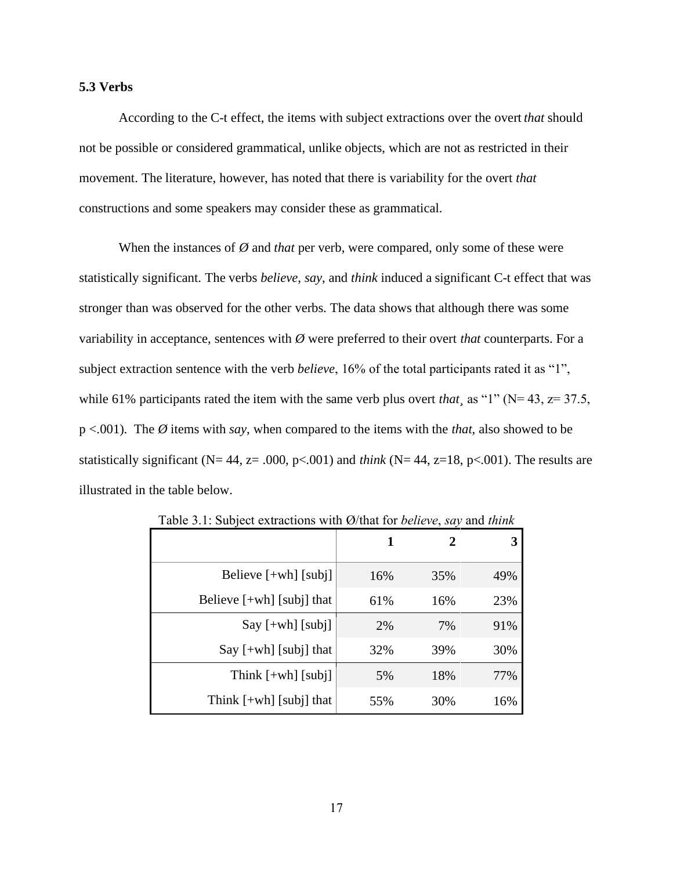#### <span id="page-25-0"></span>**5.3 Verbs**

According to the C-t effect, the items with subject extractions over the overt *that* should not be possible or considered grammatical, unlike objects, which are not as restricted in their movement. The literature, however, has noted that there is variability for the overt *that* constructions and some speakers may consider these as grammatical.

When the instances of *Ø* and *that* per verb, were compared, only some of these were statistically significant. The verbs *believe*, *say*, and *think* induced a significant C-t effect that was stronger than was observed for the other verbs. The data shows that although there was some variability in acceptance, sentences with *Ø* were preferred to their overt *that* counterparts. For a subject extraction sentence with the verb *believe*, 16% of the total participants rated it as "1", while 61% participants rated the item with the same verb plus overt *that* as "1" ( $N= 43$ ,  $z= 37.5$ , p <.001). The *Ø* items with *say*, when compared to the items with the *that*, also showed to be statistically significant ( $N= 44$ ,  $z= .000$ ,  $p< .001$ ) and *think* ( $N= 44$ ,  $z=18$ ,  $p< .001$ ). The results are illustrated in the table below.

<span id="page-25-1"></span>

|                             | 1   |     | 3   |
|-----------------------------|-----|-----|-----|
| Believe $[+wh]$ [subj]      | 16% | 35% | 49% |
| Believe $[+wh]$ [subj] that | 61% | 16% | 23% |
| $Say$ [+wh] [subj]          | 2%  | 7%  | 91% |
| Say $[+wh]$ [subj] that     | 32% | 39% | 30% |
| Think $[+wh]$ [subj]        | 5%  | 18% | 77% |
| Think $[+wh]$ [subj] that   | 55% | 30% | 16% |

Table 3.1: Subject extractions with Ø/that for *believe*, *say* and *think*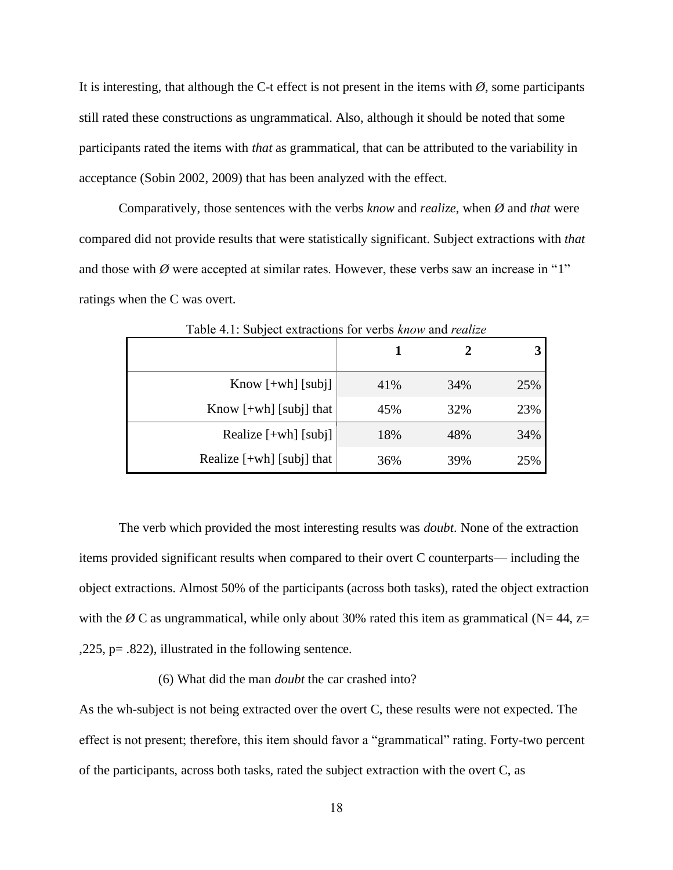It is interesting, that although the C-t effect is not present in the items with  $\emptyset$ , some participants still rated these constructions as ungrammatical. Also, although it should be noted that some participants rated the items with *that* as grammatical, that can be attributed to the variability in acceptance (Sobin 2002, 2009) that has been analyzed with the effect.

Comparatively, those sentences with the verbs *know* and *realize*, when *Ø* and *that* were compared did not provide results that were statistically significant. Subject extractions with *that* and those with  $\emptyset$  were accepted at similar rates. However, these verbs saw an increase in "1" ratings when the C was overt.

<span id="page-26-0"></span>

| Know $[+wh]$ [subj]         | 41% | 34% | 25% |
|-----------------------------|-----|-----|-----|
| Know $[+wh]$ [subj] that    | 45% | 32% | 23% |
| Realize $[+wh]$ [subj]      | 18% | 48% | 34% |
| Realize $[+wh]$ [subj] that | 36% | 39% | 25% |

Table 4.1: Subject extractions for verbs *know* and *realize*

The verb which provided the most interesting results was *doubt*. None of the extraction items provided significant results when compared to their overt C counterparts— including the object extractions. Almost 50% of the participants (across both tasks), rated the object extraction with the  $\emptyset$  C as ungrammatical, while only about 30% rated this item as grammatical (N= 44, z= ,225, p= .822), illustrated in the following sentence.

#### (6) What did the man *doubt* the car crashed into?

As the wh-subject is not being extracted over the overt C, these results were not expected. The effect is not present; therefore, this item should favor a "grammatical" rating. Forty-two percent of the participants, across both tasks, rated the subject extraction with the overt C, as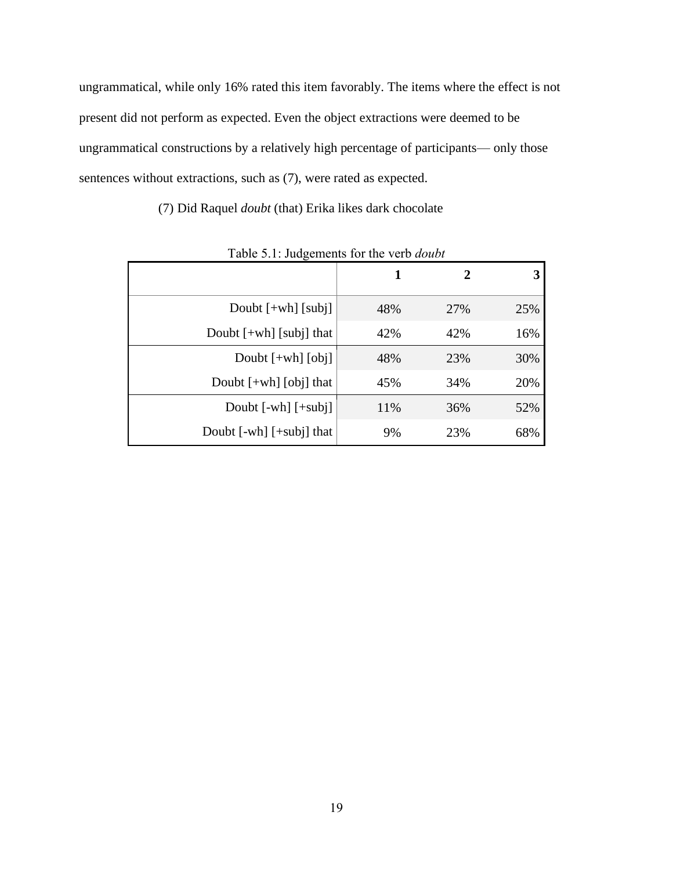ungrammatical, while only 16% rated this item favorably. The items where the effect is not present did not perform as expected. Even the object extractions were deemed to be ungrammatical constructions by a relatively high percentage of participants— only those sentences without extractions, such as (7), were rated as expected.

(7) Did Raquel *doubt* (that) Erika likes dark chocolate

<span id="page-27-0"></span>

|                              |     | $\mathbf 2$ |     |
|------------------------------|-----|-------------|-----|
| Doubt $[+wh]$ [subj]         | 48% | 27%         | 25% |
| Doubt $[+wh]$ [subj] that    | 42% | 42%         | 16% |
| Doubt $[+wh]$ $[obj]$        | 48% | 23%         | 30% |
| Doubt $[+wh]$ [obj] that     | 45% | 34%         | 20% |
| Doubt $[-wh]$ $[+subj]$      | 11% | 36%         | 52% |
| Doubt $[-wh]$ $[+subj]$ that | 9%  | 23%         | 68% |

Table 5.1: Judgements for the verb *doubt*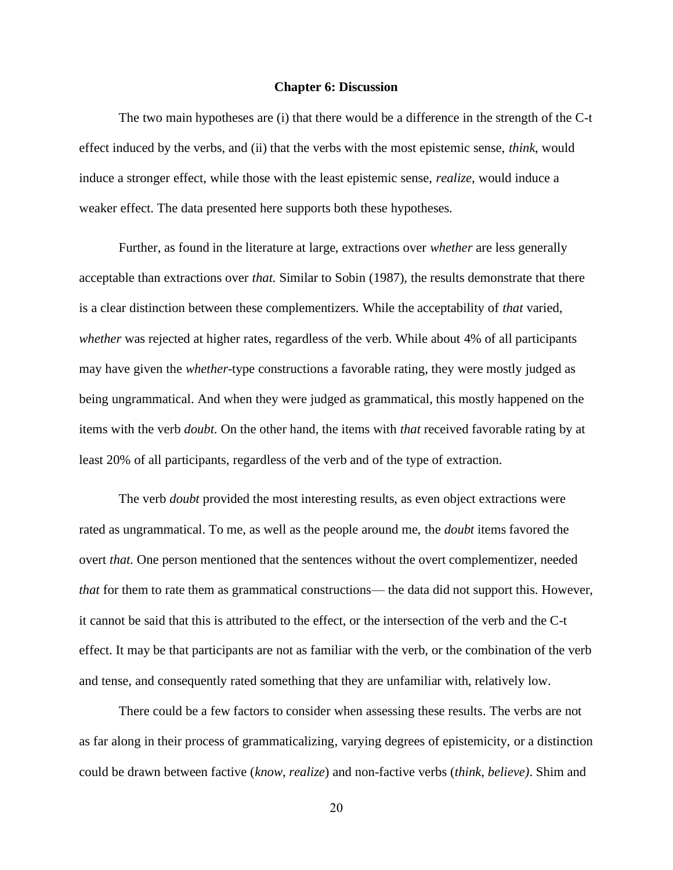#### **Chapter 6: Discussion**

<span id="page-28-0"></span>The two main hypotheses are (i) that there would be a difference in the strength of the C-t effect induced by the verbs, and (ii) that the verbs with the most epistemic sense, *think*, would induce a stronger effect, while those with the least epistemic sense, *realize*, would induce a weaker effect. The data presented here supports both these hypotheses.

Further, as found in the literature at large, extractions over *whether* are less generally acceptable than extractions over *that*. Similar to Sobin (1987), the results demonstrate that there is a clear distinction between these complementizers. While the acceptability of *that* varied, *whether* was rejected at higher rates, regardless of the verb. While about 4% of all participants may have given the *whether*-type constructions a favorable rating, they were mostly judged as being ungrammatical. And when they were judged as grammatical, this mostly happened on the items with the verb *doubt*. On the other hand, the items with *that* received favorable rating by at least 20% of all participants, regardless of the verb and of the type of extraction.

The verb *doubt* provided the most interesting results, as even object extractions were rated as ungrammatical. To me, as well as the people around me, the *doubt* items favored the overt *that*. One person mentioned that the sentences without the overt complementizer, needed *that* for them to rate them as grammatical constructions— the data did not support this. However, it cannot be said that this is attributed to the effect, or the intersection of the verb and the C-t effect. It may be that participants are not as familiar with the verb, or the combination of the verb and tense, and consequently rated something that they are unfamiliar with, relatively low.

There could be a few factors to consider when assessing these results. The verbs are not as far along in their process of grammaticalizing, varying degrees of epistemicity, or a distinction could be drawn between factive (*know*, *realize*) and non-factive verbs (*think, believe)*. Shim and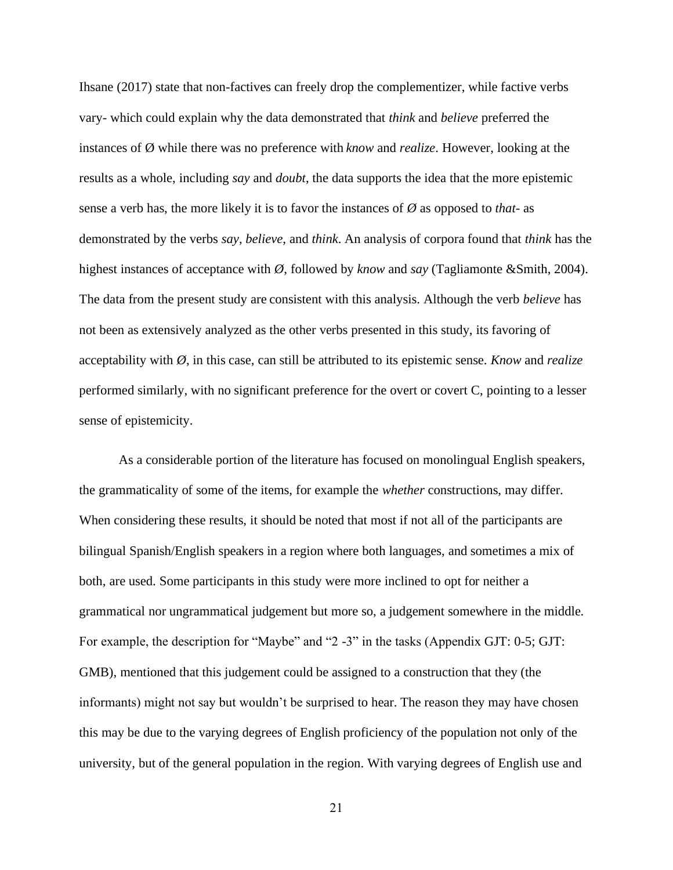Ihsane (2017) state that non-factives can freely drop the complementizer, while factive verbs vary- which could explain why the data demonstrated that *think* and *believe* preferred the instances of Ø while there was no preference with *know* and *realize*. However, looking at the results as a whole, including *say* and *doubt*, the data supports the idea that the more epistemic sense a verb has, the more likely it is to favor the instances of *Ø* as opposed to *that*- as demonstrated by the verbs *say*, *believe*, and *think*. An analysis of corpora found that *think* has the highest instances of acceptance with *Ø*, followed by *know* and *say* (Tagliamonte &Smith, 2004). The data from the present study are consistent with this analysis. Although the verb *believe* has not been as extensively analyzed as the other verbs presented in this study, its favoring of acceptability with *Ø*, in this case, can still be attributed to its epistemic sense. *Know* and *realize*  performed similarly, with no significant preference for the overt or covert C, pointing to a lesser sense of epistemicity.

As a considerable portion of the literature has focused on monolingual English speakers, the grammaticality of some of the items, for example the *whether* constructions, may differ. When considering these results, it should be noted that most if not all of the participants are bilingual Spanish/English speakers in a region where both languages, and sometimes a mix of both, are used. Some participants in this study were more inclined to opt for neither a grammatical nor ungrammatical judgement but more so, a judgement somewhere in the middle. For example, the description for "Maybe" and "2 -3" in the tasks (Appendix GJT: 0-5; GJT: GMB), mentioned that this judgement could be assigned to a construction that they (the informants) might not say but wouldn't be surprised to hear. The reason they may have chosen this may be due to the varying degrees of English proficiency of the population not only of the university, but of the general population in the region. With varying degrees of English use and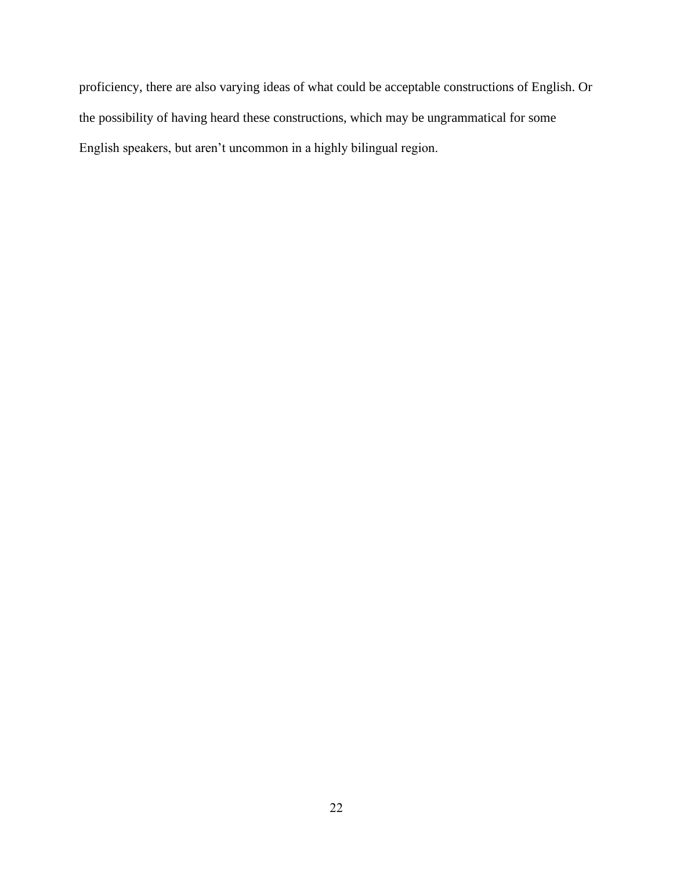proficiency, there are also varying ideas of what could be acceptable constructions of English. Or the possibility of having heard these constructions, which may be ungrammatical for some English speakers, but aren't uncommon in a highly bilingual region.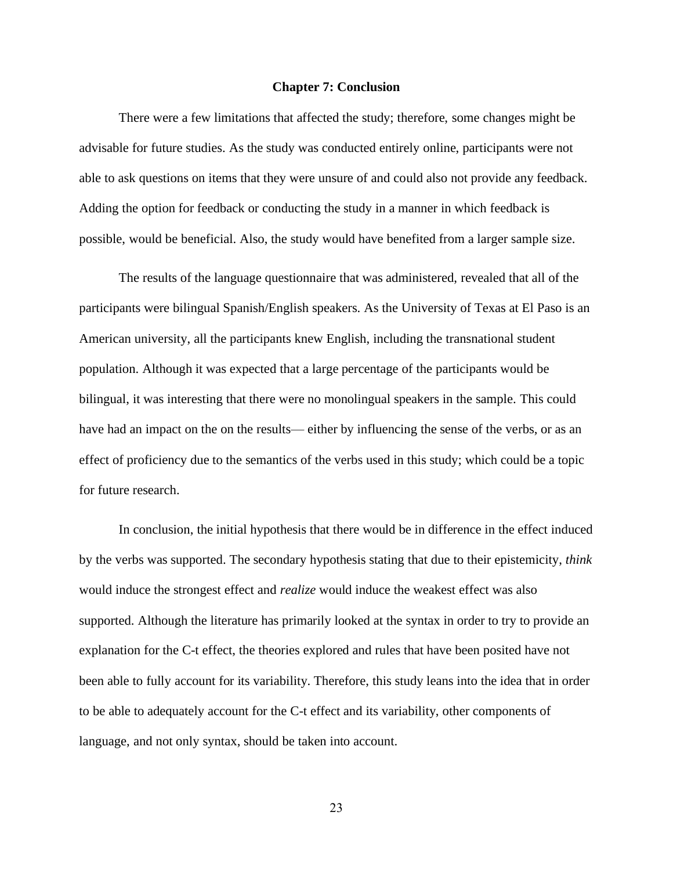#### **Chapter 7: Conclusion**

<span id="page-31-0"></span>There were a few limitations that affected the study; therefore, some changes might be advisable for future studies. As the study was conducted entirely online, participants were not able to ask questions on items that they were unsure of and could also not provide any feedback. Adding the option for feedback or conducting the study in a manner in which feedback is possible, would be beneficial. Also, the study would have benefited from a larger sample size.

The results of the language questionnaire that was administered, revealed that all of the participants were bilingual Spanish/English speakers. As the University of Texas at El Paso is an American university, all the participants knew English, including the transnational student population. Although it was expected that a large percentage of the participants would be bilingual, it was interesting that there were no monolingual speakers in the sample. This could have had an impact on the on the results— either by influencing the sense of the verbs, or as an effect of proficiency due to the semantics of the verbs used in this study; which could be a topic for future research.

In conclusion, the initial hypothesis that there would be in difference in the effect induced by the verbs was supported. The secondary hypothesis stating that due to their epistemicity, *think* would induce the strongest effect and *realize* would induce the weakest effect was also supported. Although the literature has primarily looked at the syntax in order to try to provide an explanation for the C-t effect, the theories explored and rules that have been posited have not been able to fully account for its variability. Therefore, this study leans into the idea that in order to be able to adequately account for the C-t effect and its variability, other components of language, and not only syntax, should be taken into account.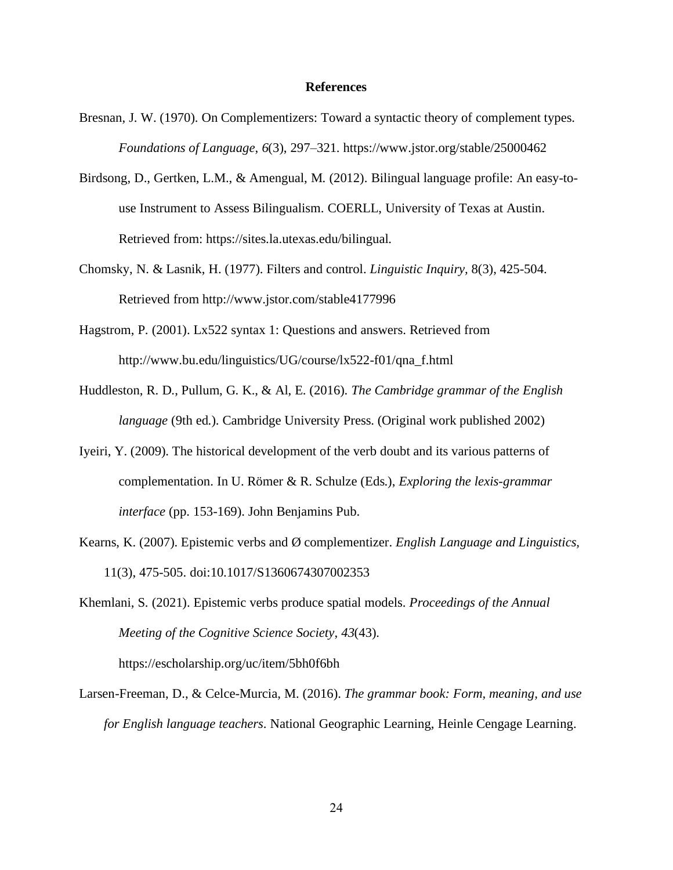#### **References**

- <span id="page-32-0"></span>Bresnan, J. W. (1970). On Complementizers: Toward a syntactic theory of complement types. *Foundations of Language*, *6*(3), 297–321. https://www.jstor.org/stable/25000462
- Birdsong, D., Gertken, L.M., & Amengual, M. (2012). Bilingual language profile: An easy-touse Instrument to Assess Bilingualism. COERLL, University of Texas at Austin. Retrieved from: https://sites.la.utexas.edu/bilingual.
- Chomsky, N. & Lasnik, H. (1977). Filters and control. *Linguistic Inquiry,* 8(3), 425-504. Retrieved from http://www.jstor.com/stable4177996
- Hagstrom, P. (2001). Lx522 syntax 1: Questions and answers. Retrieved from http://www.bu.edu/linguistics/UG/course/lx522-f01/qna\_f.html
- Huddleston, R. D., Pullum, G. K., & Al, E. (2016). *The Cambridge grammar of the English language* (9th ed.). Cambridge University Press. (Original work published 2002)
- Iyeiri, Y. (2009). The historical development of the verb doubt and its various patterns of complementation. In U. Römer & R. Schulze (Eds.), *Exploring the lexis-grammar interface* (pp. 153-169). John Benjamins Pub.
- Kearns, K. (2007). Epistemic verbs and Ø complementizer. *English Language and Linguistics,* 11(3), 475-505. doi:10.1017/S1360674307002353

Khemlani, S. (2021). Epistemic verbs produce spatial models. *Proceedings of the Annual Meeting of the Cognitive Science Society*, *43*(43). https://escholarship.org/uc/item/5bh0f6bh

Larsen-Freeman, D., & Celce-Murcia, M. (2016). *The grammar book: Form, meaning, and use for English language teachers*. National Geographic Learning, Heinle Cengage Learning.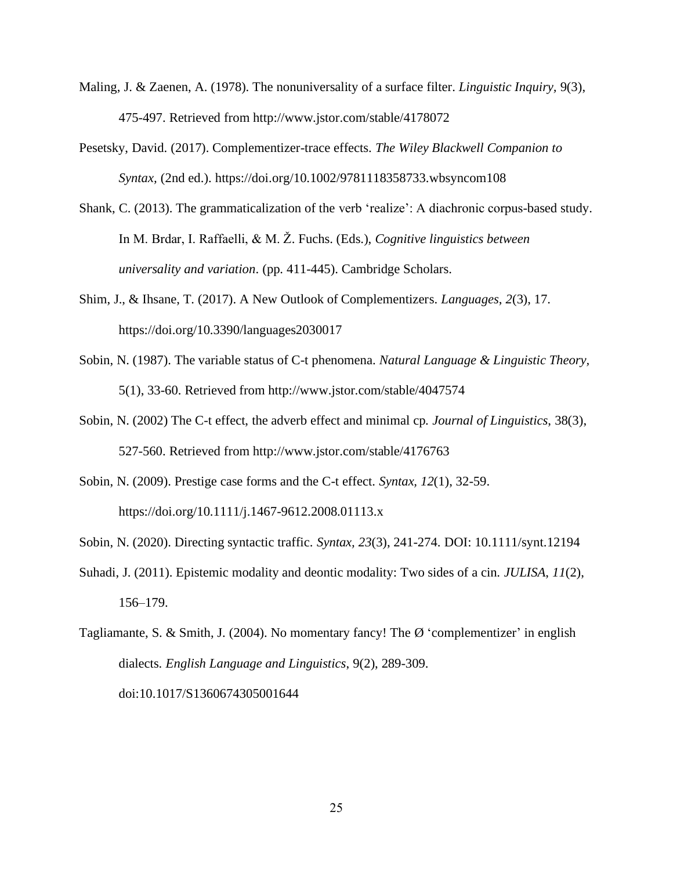- Maling, J. & Zaenen, A. (1978). The nonuniversality of a surface filter. *Linguistic Inquiry,* 9(3), 475-497. Retrieved from <http://www.jstor.com/stable/4178072>
- Pesetsky, David. (2017). Complementizer-trace effects. *The Wiley Blackwell Companion to Syntax,* (2nd ed.). https://doi.org/10.1002/9781118358733.wbsyncom108
- Shank, C. (2013). The grammaticalization of the verb 'realize': A diachronic corpus-based study. In M. Brdar, I. Raffaelli, & M. Ž. Fuchs. (Eds.), *Cognitive linguistics between universality and variation*. (pp. 411-445). Cambridge Scholars.
- Shim, J., & Ihsane, T. (2017). A New Outlook of Complementizers. *Languages*, *2*(3), 17. https://doi.org/10.3390/languages2030017
- Sobin, N. (1987). The variable status of C-t phenomena. *Natural Language & Linguistic Theory,* 5(1), 33-60. Retrieved from http://www.jstor.com/stable/4047574
- Sobin, N. (2002) The C-t effect, the adverb effect and minimal cp. *Journal of Linguistics*, 38(3), 527-560. Retrieved from http://www.jstor.com/stable/4176763
- Sobin, N. (2009). Prestige case forms and the C-t effect. *Syntax, 12*(1), 32-59. <https://doi.org/10.1111/j.1467-9612.2008.01113.x>
- Sobin, N. (2020). Directing syntactic traffic. *Syntax, 23*(3), 241-274. DOI: 10.1111/synt.12194
- Suhadi, J. (2011). Epistemic modality and deontic modality: Two sides of a cin. *JULISA*, *11*(2), 156–179.

Tagliamante, S. & Smith, J. (2004). No momentary fancy! The Ø 'complementizer' in english dialects. *English Language and Linguistics*, 9(2), 289-309. doi:10.1017/S1360674305001644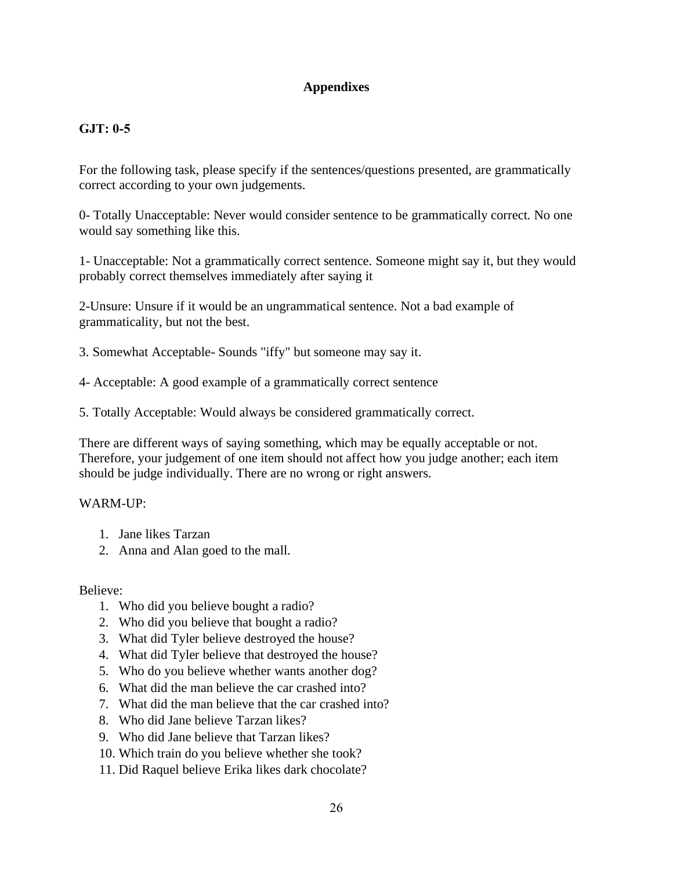# **Appendixes**

# <span id="page-34-0"></span>**GJT: 0-5**

For the following task, please specify if the sentences/questions presented, are grammatically correct according to your own judgements.

0- Totally Unacceptable: Never would consider sentence to be grammatically correct. No one would say something like this.

1- Unacceptable: Not a grammatically correct sentence. Someone might say it, but they would probably correct themselves immediately after saying it

2-Unsure: Unsure if it would be an ungrammatical sentence. Not a bad example of grammaticality, but not the best.

3. Somewhat Acceptable- Sounds "iffy" but someone may say it.

4- Acceptable: A good example of a grammatically correct sentence

5. Totally Acceptable: Would always be considered grammatically correct.

There are different ways of saying something, which may be equally acceptable or not. Therefore, your judgement of one item should not affect how you judge another; each item should be judge individually. There are no wrong or right answers.

# WARM-UP:

- 1. Jane likes Tarzan
- 2. Anna and Alan goed to the mall.

Believe:

- 1. Who did you believe bought a radio?
- 2. Who did you believe that bought a radio?
- 3. What did Tyler believe destroyed the house?
- 4. What did Tyler believe that destroyed the house?
- 5. Who do you believe whether wants another dog?
- 6. What did the man believe the car crashed into?
- 7. What did the man believe that the car crashed into?
- 8. Who did Jane believe Tarzan likes?
- 9. Who did Jane believe that Tarzan likes?
- 10. Which train do you believe whether she took?
- 11. Did Raquel believe Erika likes dark chocolate?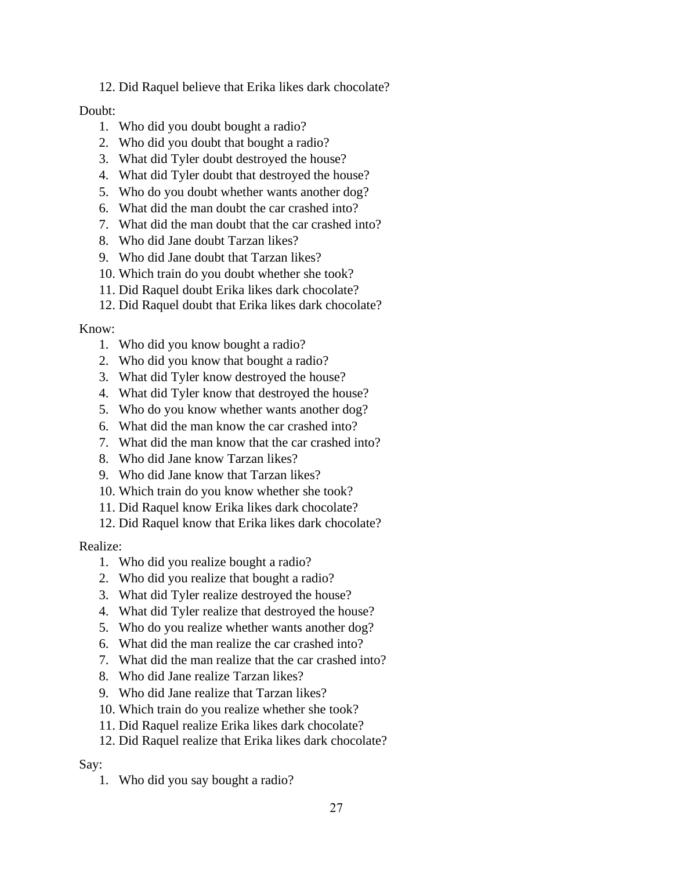12. Did Raquel believe that Erika likes dark chocolate?

# Doubt:

- 1. Who did you doubt bought a radio?
- 2. Who did you doubt that bought a radio?
- 3. What did Tyler doubt destroyed the house?
- 4. What did Tyler doubt that destroyed the house?
- 5. Who do you doubt whether wants another dog?
- 6. What did the man doubt the car crashed into?
- 7. What did the man doubt that the car crashed into?
- 8. Who did Jane doubt Tarzan likes?
- 9. Who did Jane doubt that Tarzan likes?
- 10. Which train do you doubt whether she took?
- 11. Did Raquel doubt Erika likes dark chocolate?
- 12. Did Raquel doubt that Erika likes dark chocolate?

# Know:

- 1. Who did you know bought a radio?
- 2. Who did you know that bought a radio?
- 3. What did Tyler know destroyed the house?
- 4. What did Tyler know that destroyed the house?
- 5. Who do you know whether wants another dog?
- 6. What did the man know the car crashed into?
- 7. What did the man know that the car crashed into?
- 8. Who did Jane know Tarzan likes?
- 9. Who did Jane know that Tarzan likes?
- 10. Which train do you know whether she took?
- 11. Did Raquel know Erika likes dark chocolate?
- 12. Did Raquel know that Erika likes dark chocolate?

# Realize:

- 1. Who did you realize bought a radio?
- 2. Who did you realize that bought a radio?
- 3. What did Tyler realize destroyed the house?
- 4. What did Tyler realize that destroyed the house?
- 5. Who do you realize whether wants another dog?
- 6. What did the man realize the car crashed into?
- 7. What did the man realize that the car crashed into?
- 8. Who did Jane realize Tarzan likes?
- 9. Who did Jane realize that Tarzan likes?
- 10. Which train do you realize whether she took?
- 11. Did Raquel realize Erika likes dark chocolate?
- 12. Did Raquel realize that Erika likes dark chocolate?

# Say:

1. Who did you say bought a radio?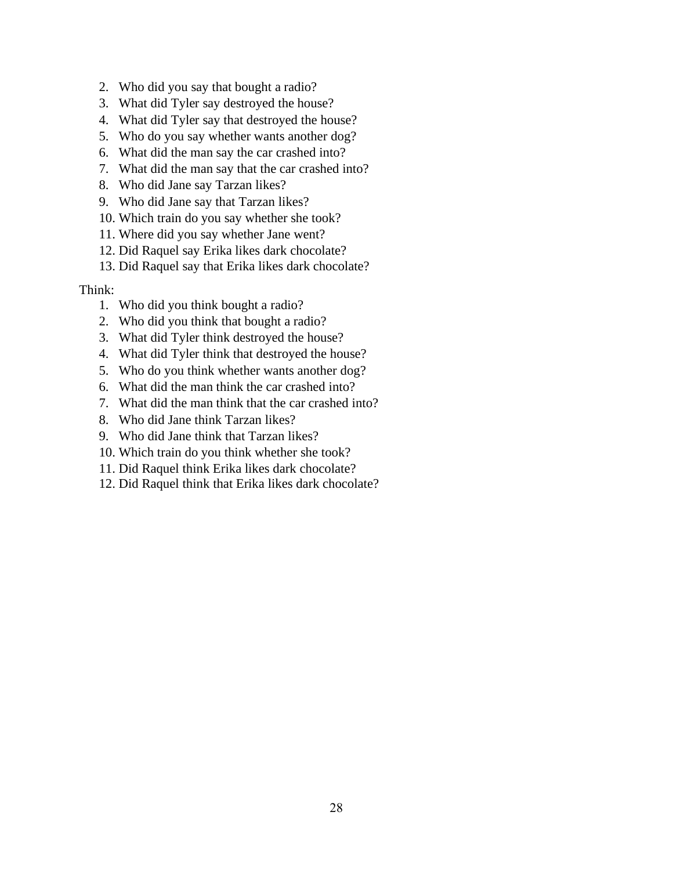- 2. Who did you say that bought a radio?
- 3. What did Tyler say destroyed the house?
- 4. What did Tyler say that destroyed the house?
- 5. Who do you say whether wants another dog?
- 6. What did the man say the car crashed into?
- 7. What did the man say that the car crashed into?
- 8. Who did Jane say Tarzan likes?
- 9. Who did Jane say that Tarzan likes?
- 10. Which train do you say whether she took?
- 11. Where did you say whether Jane went?
- 12. Did Raquel say Erika likes dark chocolate?
- 13. Did Raquel say that Erika likes dark chocolate?

# Think:

- 1. Who did you think bought a radio?
- 2. Who did you think that bought a radio?
- 3. What did Tyler think destroyed the house?
- 4. What did Tyler think that destroyed the house?
- 5. Who do you think whether wants another dog?
- 6. What did the man think the car crashed into?
- 7. What did the man think that the car crashed into?
- 8. Who did Jane think Tarzan likes?
- 9. Who did Jane think that Tarzan likes?
- 10. Which train do you think whether she took?
- 11. Did Raquel think Erika likes dark chocolate?
- 12. Did Raquel think that Erika likes dark chocolate?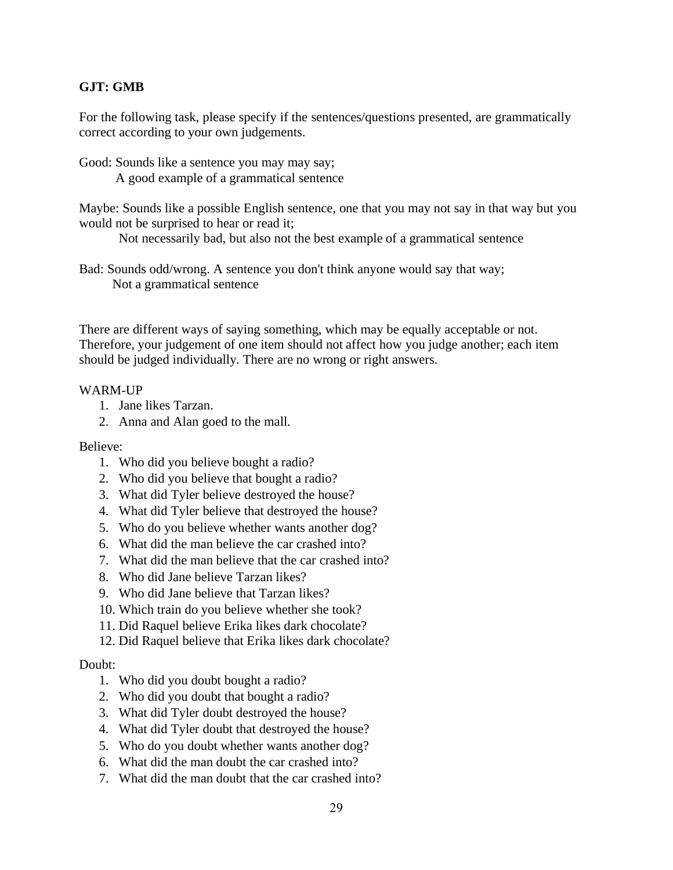# **GJT: GMB**

For the following task, please specify if the sentences/questions presented, are grammatically correct according to your own judgements.

Good: Sounds like a sentence you may may say; A good example of a grammatical sentence

Maybe: Sounds like a possible English sentence, one that you may not say in that way but you would not be surprised to hear or read it;

Not necessarily bad, but also not the best example of a grammatical sentence

Bad: Sounds odd/wrong. A sentence you don't think anyone would say that way; Not a grammatical sentence

There are different ways of saying something, which may be equally acceptable or not. Therefore, your judgement of one item should not affect how you judge another; each item should be judged individually. There are no wrong or right answers.

# WARM-UP

- 1. Jane likes Tarzan.
- 2. Anna and Alan goed to the mall.

Believe:

- 1. Who did you believe bought a radio?
- 2. Who did you believe that bought a radio?
- 3. What did Tyler believe destroyed the house?
- 4. What did Tyler believe that destroyed the house?
- 5. Who do you believe whether wants another dog?
- 6. What did the man believe the car crashed into?
- 7. What did the man believe that the car crashed into?
- 8. Who did Jane believe Tarzan likes?
- 9. Who did Jane believe that Tarzan likes?
- 10. Which train do you believe whether she took?
- 11. Did Raquel believe Erika likes dark chocolate?
- 12. Did Raquel believe that Erika likes dark chocolate?

# Doubt:

- 1. Who did you doubt bought a radio?
- 2. Who did you doubt that bought a radio?
- 3. What did Tyler doubt destroyed the house?
- 4. What did Tyler doubt that destroyed the house?
- 5. Who do you doubt whether wants another dog?
- 6. What did the man doubt the car crashed into?
- 7. What did the man doubt that the car crashed into?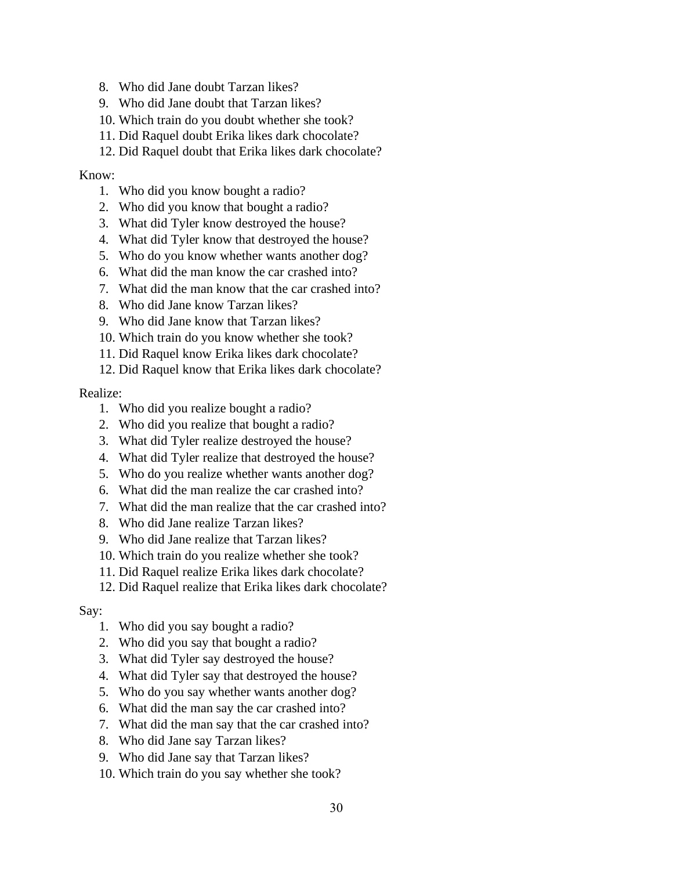- 8. Who did Jane doubt Tarzan likes?
- 9. Who did Jane doubt that Tarzan likes?
- 10. Which train do you doubt whether she took?
- 11. Did Raquel doubt Erika likes dark chocolate?
- 12. Did Raquel doubt that Erika likes dark chocolate?

# Know:

- 1. Who did you know bought a radio?
- 2. Who did you know that bought a radio?
- 3. What did Tyler know destroyed the house?
- 4. What did Tyler know that destroyed the house?
- 5. Who do you know whether wants another dog?
- 6. What did the man know the car crashed into?
- 7. What did the man know that the car crashed into?
- 8. Who did Jane know Tarzan likes?
- 9. Who did Jane know that Tarzan likes?
- 10. Which train do you know whether she took?
- 11. Did Raquel know Erika likes dark chocolate?
- 12. Did Raquel know that Erika likes dark chocolate?

# Realize:

- 1. Who did you realize bought a radio?
- 2. Who did you realize that bought a radio?
- 3. What did Tyler realize destroyed the house?
- 4. What did Tyler realize that destroyed the house?
- 5. Who do you realize whether wants another dog?
- 6. What did the man realize the car crashed into?
- 7. What did the man realize that the car crashed into?
- 8. Who did Jane realize Tarzan likes?
- 9. Who did Jane realize that Tarzan likes?
- 10. Which train do you realize whether she took?
- 11. Did Raquel realize Erika likes dark chocolate?
- 12. Did Raquel realize that Erika likes dark chocolate?

# Say:

- 1. Who did you say bought a radio?
- 2. Who did you say that bought a radio?
- 3. What did Tyler say destroyed the house?
- 4. What did Tyler say that destroyed the house?
- 5. Who do you say whether wants another dog?
- 6. What did the man say the car crashed into?
- 7. What did the man say that the car crashed into?
- 8. Who did Jane say Tarzan likes?
- 9. Who did Jane say that Tarzan likes?
- 10. Which train do you say whether she took?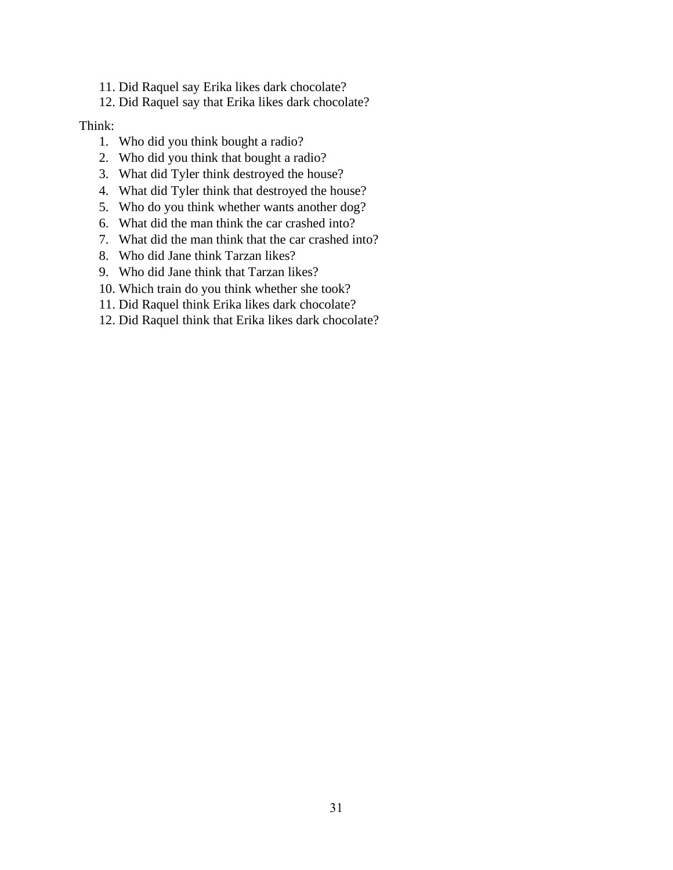- 11. Did Raquel say Erika likes dark chocolate?
- 12. Did Raquel say that Erika likes dark chocolate?

#### Think:

- 1. Who did you think bought a radio?
- 2. Who did you think that bought a radio?
- 3. What did Tyler think destroyed the house?
- 4. What did Tyler think that destroyed the house?
- 5. Who do you think whether wants another dog?
- 6. What did the man think the car crashed into?
- 7. What did the man think that the car crashed into?
- 8. Who did Jane think Tarzan likes?
- 9. Who did Jane think that Tarzan likes?
- 10. Which train do you think whether she took?
- 11. Did Raquel think Erika likes dark chocolate?
- 12. Did Raquel think that Erika likes dark chocolate?